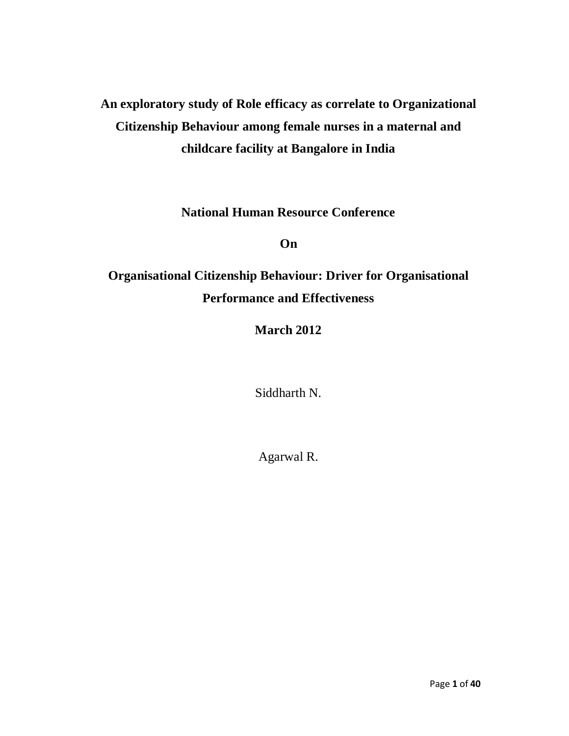# **An exploratory study of Role efficacy as correlate to Organizational Citizenship Behaviour among female nurses in a maternal and childcare facility at Bangalore in India**

**National Human Resource Conference**

**On**

# **Organisational Citizenship Behaviour: Driver for Organisational Performance and Effectiveness**

**March 2012**

Siddharth N.

Agarwal R.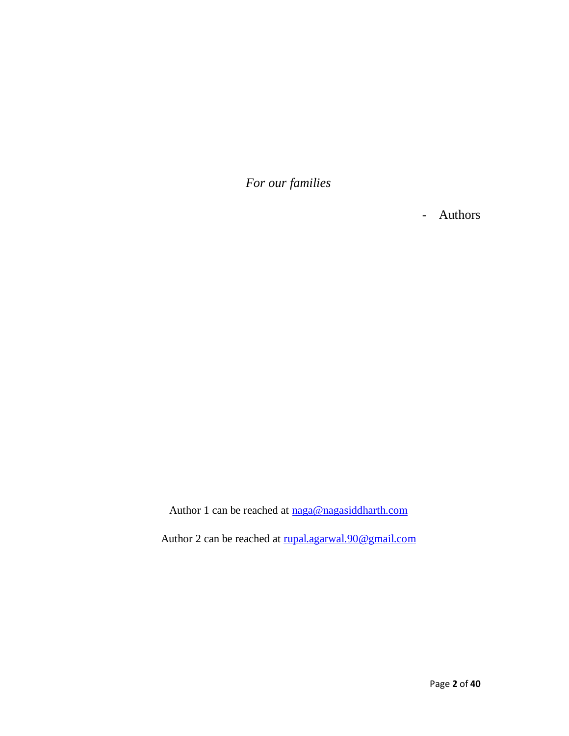*For our families*

- Authors

Author 1 can be reached at [naga@nagasiddharth.com](mailto:naga@nagasiddharth.com)

Author 2 can be reached at [rupal.agarwal.90@gmail.com](mailto:rupal.agarwal.90@gmail.com)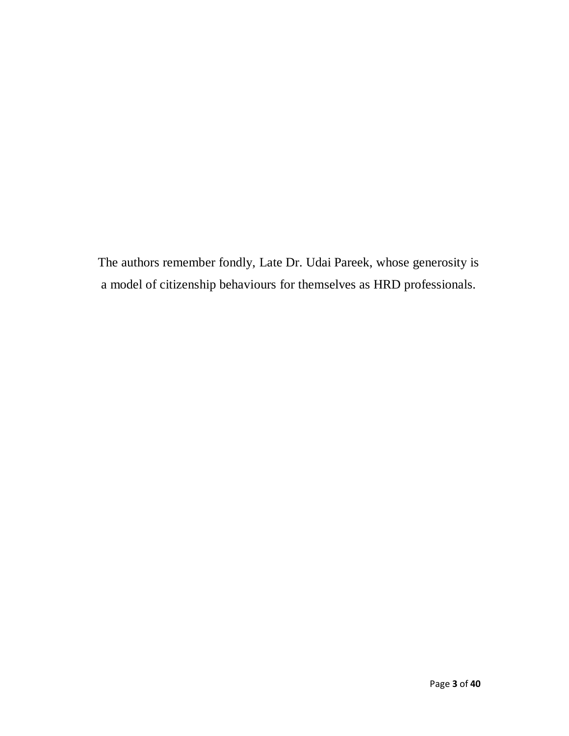The authors remember fondly, Late Dr. Udai Pareek, whose generosity is a model of citizenship behaviours for themselves as HRD professionals.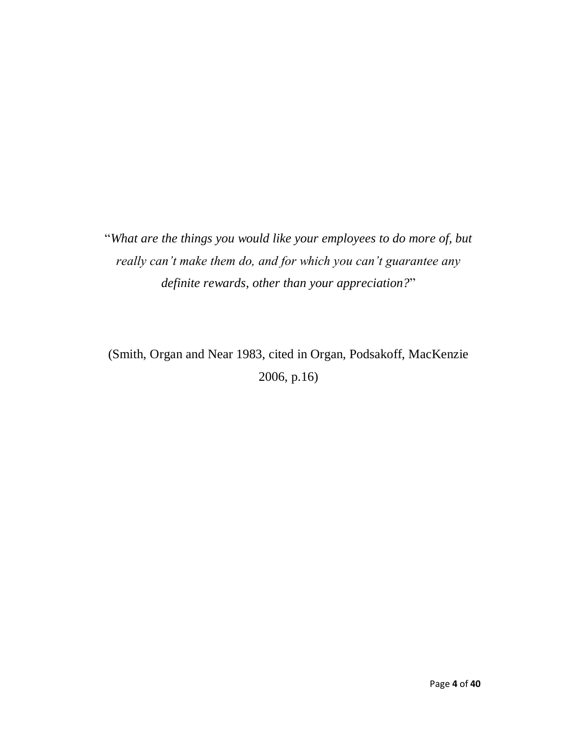"*What are the things you would like your employees to do more of, but really can't make them do, and for which you can't guarantee any definite rewards, other than your appreciation?*"

(Smith, Organ and Near 1983, cited in Organ, Podsakoff, MacKenzie 2006, p.16)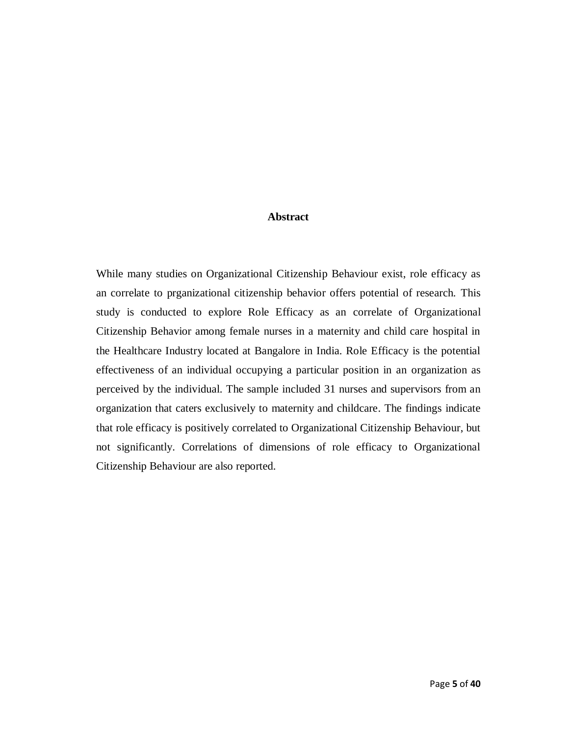#### **Abstract**

While many studies on Organizational Citizenship Behaviour exist, role efficacy as an correlate to prganizational citizenship behavior offers potential of research. This study is conducted to explore Role Efficacy as an correlate of Organizational Citizenship Behavior among female nurses in a maternity and child care hospital in the Healthcare Industry located at Bangalore in India. Role Efficacy is the potential effectiveness of an individual occupying a particular position in an organization as perceived by the individual. The sample included 31 nurses and supervisors from an organization that caters exclusively to maternity and childcare. The findings indicate that role efficacy is positively correlated to Organizational Citizenship Behaviour, but not significantly. Correlations of dimensions of role efficacy to Organizational Citizenship Behaviour are also reported.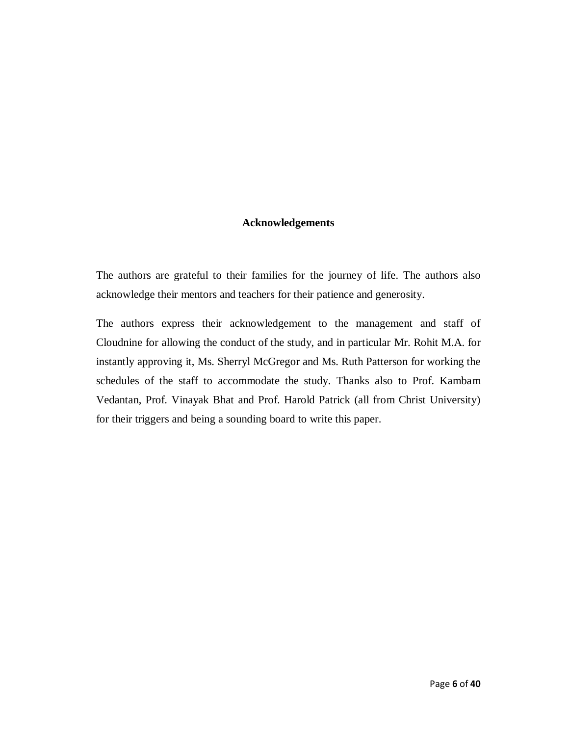## **Acknowledgements**

The authors are grateful to their families for the journey of life. The authors also acknowledge their mentors and teachers for their patience and generosity.

The authors express their acknowledgement to the management and staff of Cloudnine for allowing the conduct of the study, and in particular Mr. Rohit M.A. for instantly approving it, Ms. Sherryl McGregor and Ms. Ruth Patterson for working the schedules of the staff to accommodate the study. Thanks also to Prof. Kambam Vedantan, Prof. Vinayak Bhat and Prof. Harold Patrick (all from Christ University) for their triggers and being a sounding board to write this paper.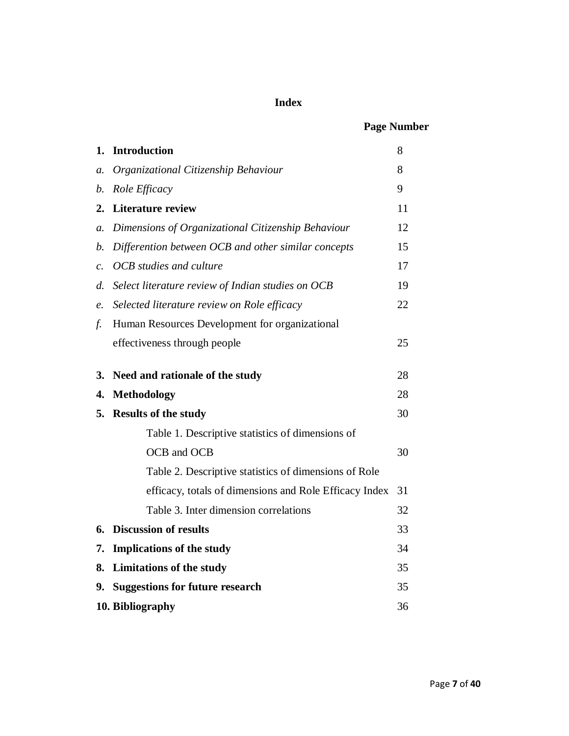# **Index**

# **Page Number**

| 1.              | <b>Introduction</b>                                    | 8  |
|-----------------|--------------------------------------------------------|----|
| a.              | Organizational Citizenship Behaviour                   | 8  |
| b.              | Role Efficacy                                          | 9  |
| 2.              | <b>Literature review</b>                               | 11 |
| а.              | Dimensions of Organizational Citizenship Behaviour     | 12 |
| b.              | Differention between OCB and other similar concepts    | 15 |
| $\mathcal{C}$ . | OCB studies and culture                                | 17 |
| d.              | Select literature review of Indian studies on OCB      | 19 |
| $\mathfrak{e}.$ | Selected literature review on Role efficacy            | 22 |
| f.              | Human Resources Development for organizational         |    |
|                 | effectiveness through people                           | 25 |
| 3.              | Need and rationale of the study                        | 28 |
| 4.              | <b>Methodology</b>                                     | 28 |
| 5.              | <b>Results of the study</b>                            | 30 |
|                 | Table 1. Descriptive statistics of dimensions of       |    |
|                 | OCB and OCB                                            | 30 |
|                 | Table 2. Descriptive statistics of dimensions of Role  |    |
|                 | efficacy, totals of dimensions and Role Efficacy Index | 31 |
|                 | Table 3. Inter dimension correlations                  | 32 |
| 6.              | <b>Discussion of results</b>                           | 33 |
| 7.              | <b>Implications of the study</b>                       | 34 |
| 8.              | <b>Limitations of the study</b>                        | 35 |
| 9.              | <b>Suggestions for future research</b>                 | 35 |
|                 | 10. Bibliography                                       | 36 |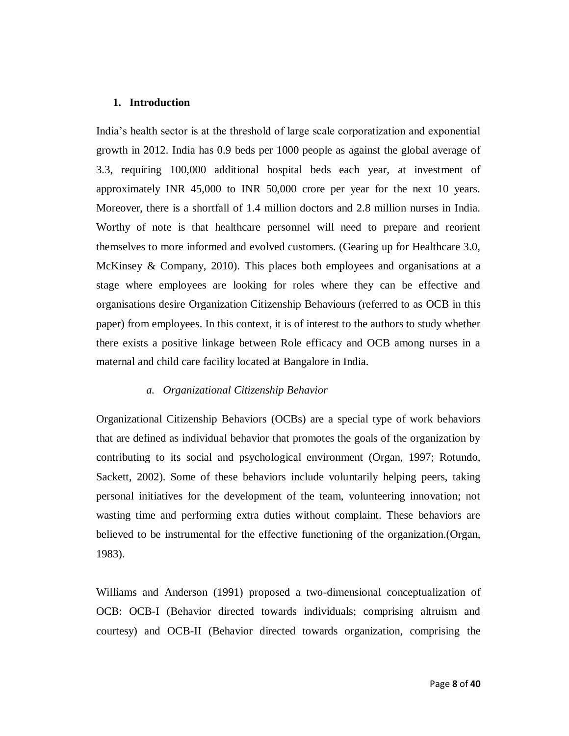#### **1. Introduction**

India's health sector is at the threshold of large scale corporatization and exponential growth in 2012. India has 0.9 beds per 1000 people as against the global average of 3.3, requiring 100,000 additional hospital beds each year, at investment of approximately INR 45,000 to INR 50,000 crore per year for the next 10 years. Moreover, there is a shortfall of 1.4 million doctors and 2.8 million nurses in India. Worthy of note is that healthcare personnel will need to prepare and reorient themselves to more informed and evolved customers. (Gearing up for Healthcare 3.0, McKinsey & Company, 2010). This places both employees and organisations at a stage where employees are looking for roles where they can be effective and organisations desire Organization Citizenship Behaviours (referred to as OCB in this paper) from employees. In this context, it is of interest to the authors to study whether there exists a positive linkage between Role efficacy and OCB among nurses in a maternal and child care facility located at Bangalore in India.

#### *a. Organizational Citizenship Behavior*

Organizational Citizenship Behaviors (OCBs) are a special type of work behaviors that are defined as individual behavior that promotes the goals of the organization by contributing to its social and psychological environment (Organ, 1997; Rotundo, Sackett, 2002). Some of these behaviors include voluntarily helping peers, taking personal initiatives for the development of the team, volunteering innovation; not wasting time and performing extra duties without complaint. These behaviors are believed to be instrumental for the effective functioning of the organization.(Organ, 1983).

Williams and Anderson (1991) proposed a two-dimensional conceptualization of OCB: OCB-I (Behavior directed towards individuals; comprising altruism and courtesy) and OCB-II (Behavior directed towards organization, comprising the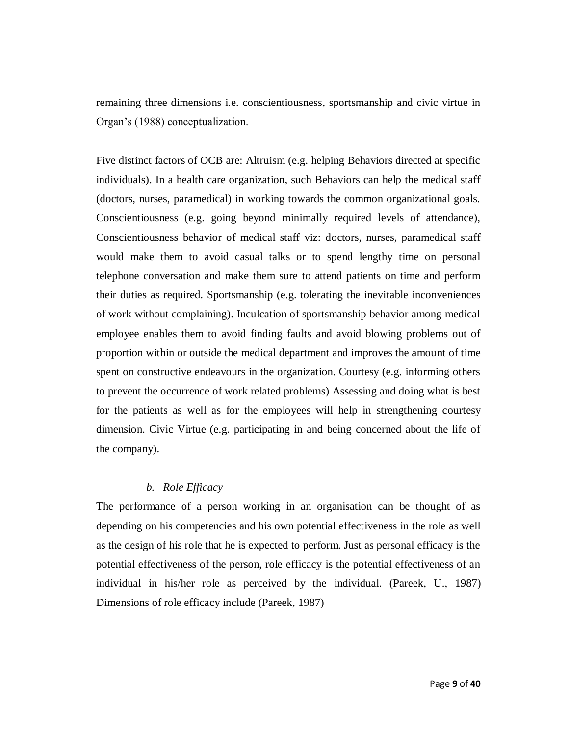remaining three dimensions i.e. conscientiousness, sportsmanship and civic virtue in Organ's (1988) conceptualization.

Five distinct factors of OCB are: Altruism (e.g. helping Behaviors directed at specific individuals). In a health care organization, such Behaviors can help the medical staff (doctors, nurses, paramedical) in working towards the common organizational goals. Conscientiousness (e.g. going beyond minimally required levels of attendance), Conscientiousness behavior of medical staff viz: doctors, nurses, paramedical staff would make them to avoid casual talks or to spend lengthy time on personal telephone conversation and make them sure to attend patients on time and perform their duties as required. Sportsmanship (e.g. tolerating the inevitable inconveniences of work without complaining). Inculcation of sportsmanship behavior among medical employee enables them to avoid finding faults and avoid blowing problems out of proportion within or outside the medical department and improves the amount of time spent on constructive endeavours in the organization. Courtesy (e.g. informing others to prevent the occurrence of work related problems) Assessing and doing what is best for the patients as well as for the employees will help in strengthening courtesy dimension. Civic Virtue (e.g. participating in and being concerned about the life of the company).

## *b. Role Efficacy*

The performance of a person working in an organisation can be thought of as depending on his competencies and his own potential effectiveness in the role as well as the design of his role that he is expected to perform. Just as personal efficacy is the potential effectiveness of the person, role efficacy is the potential effectiveness of an individual in his/her role as perceived by the individual. (Pareek, U., 1987) Dimensions of role efficacy include (Pareek, 1987)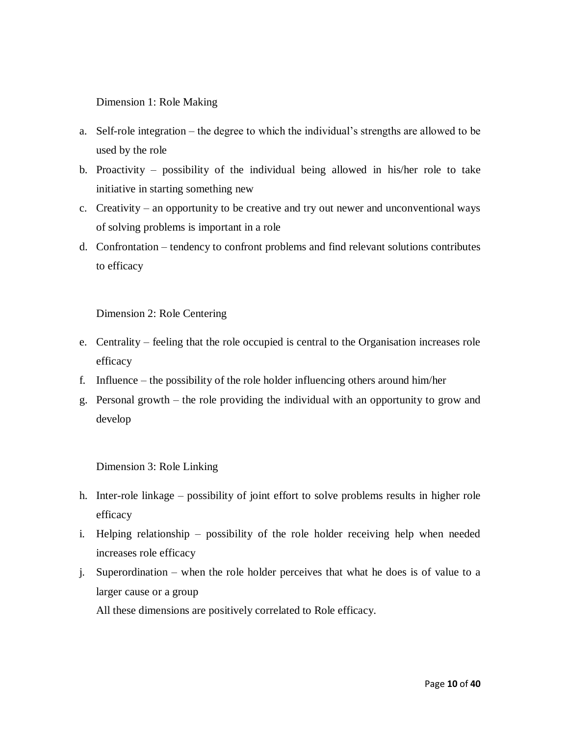Dimension 1: Role Making

- a. Self-role integration the degree to which the individual's strengths are allowed to be used by the role
- b. Proactivity possibility of the individual being allowed in his/her role to take initiative in starting something new
- c. Creativity an opportunity to be creative and try out newer and unconventional ways of solving problems is important in a role
- d. Confrontation tendency to confront problems and find relevant solutions contributes to efficacy

Dimension 2: Role Centering

- e. Centrality feeling that the role occupied is central to the Organisation increases role efficacy
- f. Influence the possibility of the role holder influencing others around him/her
- g. Personal growth the role providing the individual with an opportunity to grow and develop

Dimension 3: Role Linking

- h. Inter-role linkage possibility of joint effort to solve problems results in higher role efficacy
- i. Helping relationship possibility of the role holder receiving help when needed increases role efficacy
- j. Superordination when the role holder perceives that what he does is of value to a larger cause or a group

All these dimensions are positively correlated to Role efficacy.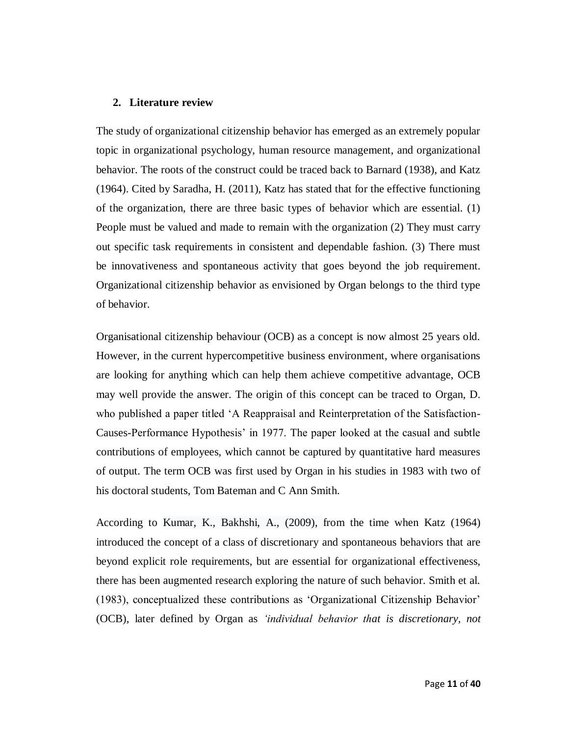#### **2. Literature review**

The study of organizational citizenship behavior has emerged as an extremely popular topic in organizational psychology, human resource management, and organizational behavior. The roots of the construct could be traced back to Barnard (1938), and Katz (1964). Cited by Saradha, H. (2011), Katz has stated that for the effective functioning of the organization, there are three basic types of behavior which are essential. (1) People must be valued and made to remain with the organization (2) They must carry out specific task requirements in consistent and dependable fashion. (3) There must be innovativeness and spontaneous activity that goes beyond the job requirement. Organizational citizenship behavior as envisioned by Organ belongs to the third type of behavior.

Organisational citizenship behaviour (OCB) as a concept is now almost 25 years old. However, in the current hypercompetitive business environment, where organisations are looking for anything which can help them achieve competitive advantage, OCB may well provide the answer. The origin of this concept can be traced to Organ, D. who published a paper titled 'A Reappraisal and Reinterpretation of the Satisfaction-Causes-Performance Hypothesis' in 1977. The paper looked at the casual and subtle contributions of employees, which cannot be captured by quantitative hard measures of output. The term OCB was first used by Organ in his studies in 1983 with two of his doctoral students, Tom Bateman and C Ann Smith.

According to Kumar, K., Bakhshi, A., (2009), from the time when Katz (1964) introduced the concept of a class of discretionary and spontaneous behaviors that are beyond explicit role requirements, but are essential for organizational effectiveness, there has been augmented research exploring the nature of such behavior. Smith et al. (1983), conceptualized these contributions as 'Organizational Citizenship Behavior' (OCB), later defined by Organ as *'individual behavior that is discretionary, not*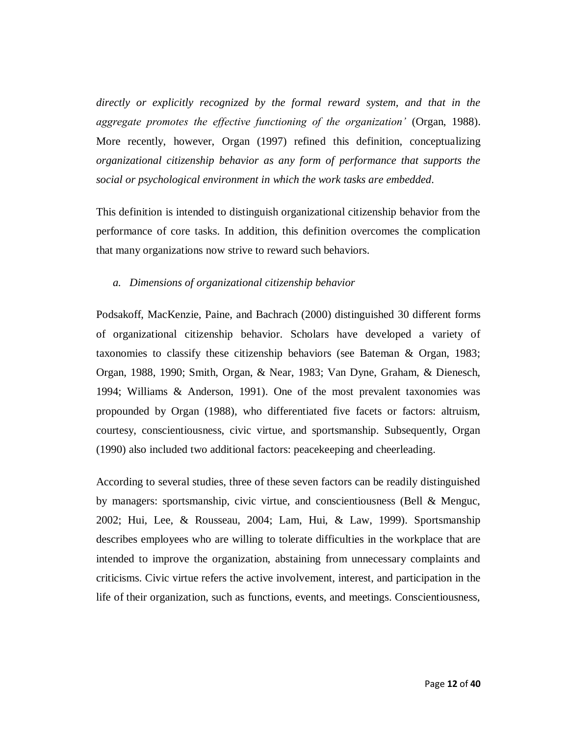*directly or explicitly recognized by the formal reward system, and that in the aggregate promotes the effective functioning of the organization'* (Organ, 1988). More recently, however, Organ (1997) refined this definition, conceptualizing *organizational citizenship behavior as any form of performance that supports the social or psychological environment in which the work tasks are embedded.*

This definition is intended to distinguish organizational citizenship behavior from the performance of core tasks. In addition, this definition overcomes the complication that many organizations now strive to reward such behaviors.

#### *a. Dimensions of organizational citizenship behavior*

Podsakoff, MacKenzie, Paine, and Bachrach (2000) distinguished 30 different forms of organizational citizenship behavior. Scholars have developed a variety of taxonomies to classify these citizenship behaviors (see Bateman & Organ, 1983; Organ, 1988, 1990; Smith, Organ, & Near, 1983; Van Dyne, Graham, & Dienesch, 1994; Williams & Anderson, 1991). One of the most prevalent taxonomies was propounded by Organ (1988), who differentiated five facets or factors: altruism, courtesy, conscientiousness, civic virtue, and sportsmanship. Subsequently, Organ (1990) also included two additional factors: peacekeeping and cheerleading.

According to several studies, three of these seven factors can be readily distinguished by managers: sportsmanship, civic virtue, and conscientiousness (Bell & Menguc, 2002; Hui, Lee, & Rousseau, 2004; Lam, Hui, & Law, 1999). Sportsmanship describes employees who are willing to tolerate difficulties in the workplace that are intended to improve the organization, abstaining from unnecessary complaints and criticisms. Civic virtue refers the active involvement, interest, and participation in the life of their organization, such as functions, events, and meetings. Conscientiousness,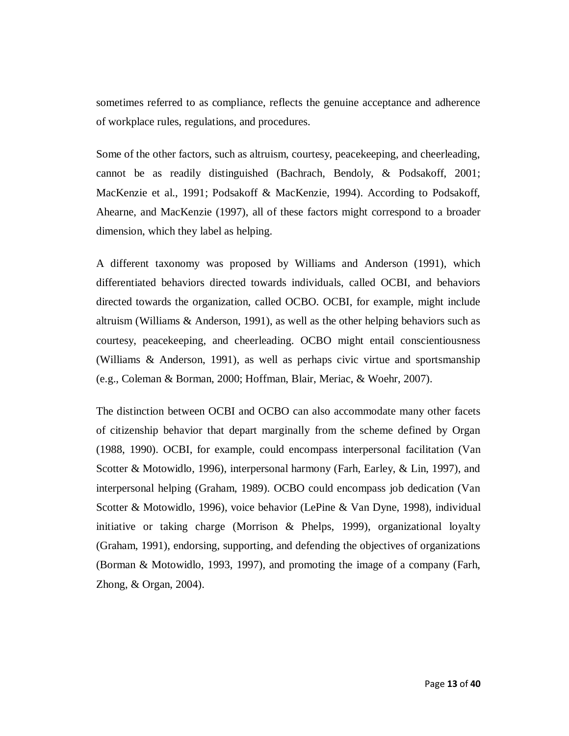sometimes referred to as compliance, reflects the genuine acceptance and adherence of workplace rules, regulations, and procedures.

Some of the other factors, such as altruism, courtesy, peacekeeping, and cheerleading, cannot be as readily distinguished (Bachrach, Bendoly, & Podsakoff, 2001; MacKenzie et al., 1991; Podsakoff & MacKenzie, 1994). According to Podsakoff, Ahearne, and MacKenzie (1997), all of these factors might correspond to a broader dimension, which they label as helping.

A different taxonomy was proposed by Williams and Anderson (1991), which differentiated behaviors directed towards individuals, called OCBI, and behaviors directed towards the organization, called OCBO. OCBI, for example, might include altruism (Williams & Anderson, 1991), as well as the other helping behaviors such as courtesy, peacekeeping, and cheerleading. OCBO might entail conscientiousness (Williams & Anderson, 1991), as well as perhaps civic virtue and sportsmanship (e.g., Coleman & Borman, 2000; Hoffman, Blair, Meriac, & Woehr, 2007).

The distinction between OCBI and OCBO can also accommodate many other facets of citizenship behavior that depart marginally from the scheme defined by Organ (1988, 1990). OCBI, for example, could encompass interpersonal facilitation (Van Scotter & Motowidlo, 1996), interpersonal harmony (Farh, Earley, & Lin, 1997), and interpersonal helping (Graham, 1989). OCBO could encompass job dedication (Van Scotter & Motowidlo, 1996), voice behavior (LePine & Van Dyne, 1998), individual initiative or taking charge (Morrison  $\&$  Phelps, 1999), organizational loyalty (Graham, 1991), endorsing, supporting, and defending the objectives of organizations (Borman & Motowidlo, 1993, 1997), and promoting the image of a company (Farh, Zhong, & Organ, 2004).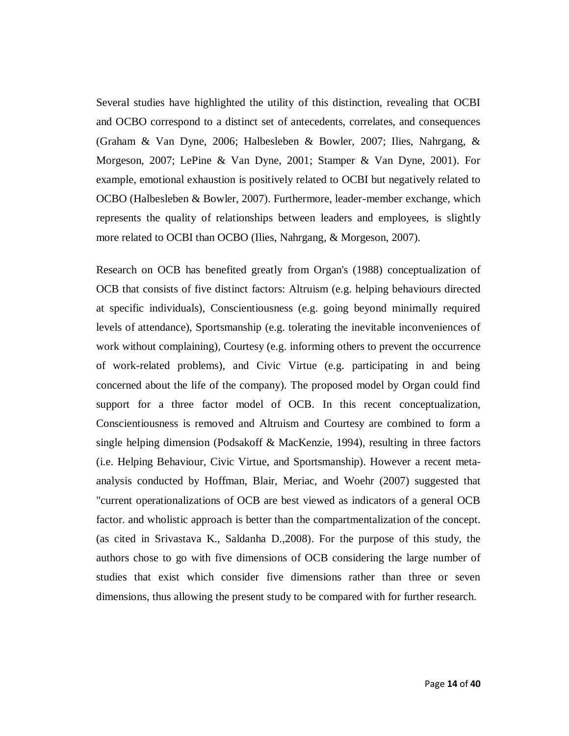Several studies have highlighted the utility of this distinction, revealing that OCBI and OCBO correspond to a distinct set of antecedents, correlates, and consequences (Graham & Van Dyne, 2006; Halbesleben & Bowler, 2007; Ilies, Nahrgang, & Morgeson, 2007; LePine & Van Dyne, 2001; Stamper & Van Dyne, 2001). For example, emotional exhaustion is positively related to OCBI but negatively related to OCBO (Halbesleben & Bowler, 2007). Furthermore, leader-member exchange, which represents the quality of relationships between leaders and employees, is slightly more related to OCBI than OCBO (Ilies, Nahrgang, & Morgeson, 2007).

Research on OCB has benefited greatly from Organ's (1988) conceptualization of OCB that consists of five distinct factors: Altruism (e.g. helping behaviours directed at specific individuals), Conscientiousness (e.g. going beyond minimally required levels of attendance), Sportsmanship (e.g. tolerating the inevitable inconveniences of work without complaining), Courtesy (e.g. informing others to prevent the occurrence of work-related problems), and Civic Virtue (e.g. participating in and being concerned about the life of the company). The proposed model by Organ could find support for a three factor model of OCB. In this recent conceptualization, Conscientiousness is removed and Altruism and Courtesy are combined to form a single helping dimension (Podsakoff & MacKenzie, 1994), resulting in three factors (i.e. Helping Behaviour, Civic Virtue, and Sportsmanship). However a recent metaanalysis conducted by Hoffman, Blair, Meriac, and Woehr (2007) suggested that "current operationalizations of OCB are best viewed as indicators of a general OCB factor. and wholistic approach is better than the compartmentalization of the concept. (as cited in Srivastava K., Saldanha D.,2008). For the purpose of this study, the authors chose to go with five dimensions of OCB considering the large number of studies that exist which consider five dimensions rather than three or seven dimensions, thus allowing the present study to be compared with for further research.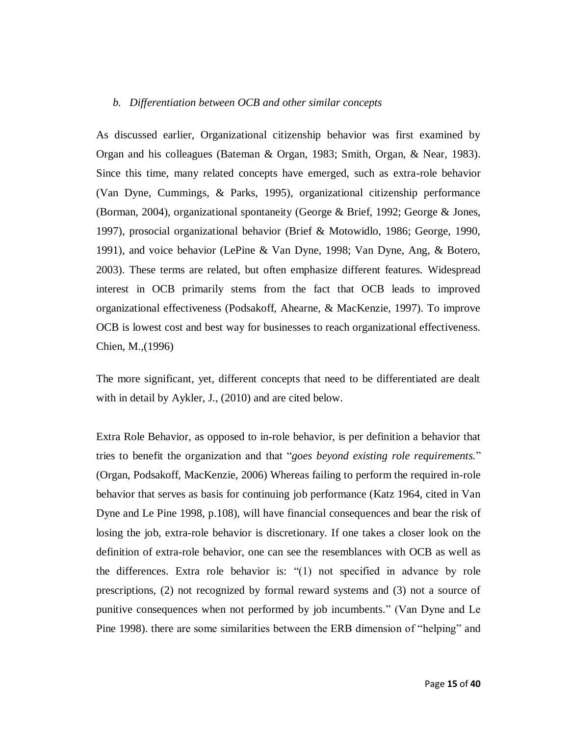#### *b. Differentiation between OCB and other similar concepts*

As discussed earlier, Organizational citizenship behavior was first examined by Organ and his colleagues (Bateman & Organ, 1983; Smith, Organ, & Near, 1983). Since this time, many related concepts have emerged, such as extra-role behavior (Van Dyne, Cummings, & Parks, 1995), organizational citizenship performance (Borman, 2004), organizational spontaneity (George & Brief, 1992; George & Jones, 1997), prosocial organizational behavior (Brief & Motowidlo, 1986; George, 1990, 1991), and voice behavior (LePine & Van Dyne, 1998; Van Dyne, Ang, & Botero, 2003). These terms are related, but often emphasize different features. Widespread interest in OCB primarily stems from the fact that OCB leads to improved organizational effectiveness (Podsakoff, Ahearne, & MacKenzie, 1997). To improve OCB is lowest cost and best way for businesses to reach organizational effectiveness. Chien, M.,(1996)

The more significant, yet, different concepts that need to be differentiated are dealt with in detail by Aykler, J., (2010) and are cited below.

Extra Role Behavior, as opposed to in-role behavior, is per definition a behavior that tries to benefit the organization and that "*goes beyond existing role requirements.*" (Organ, Podsakoff, MacKenzie, 2006) Whereas failing to perform the required in-role behavior that serves as basis for continuing job performance (Katz 1964, cited in Van Dyne and Le Pine 1998, p.108), will have financial consequences and bear the risk of losing the job, extra-role behavior is discretionary. If one takes a closer look on the definition of extra-role behavior, one can see the resemblances with OCB as well as the differences. Extra role behavior is: "(1) not specified in advance by role prescriptions, (2) not recognized by formal reward systems and (3) not a source of punitive consequences when not performed by job incumbents." (Van Dyne and Le Pine 1998). there are some similarities between the ERB dimension of "helping" and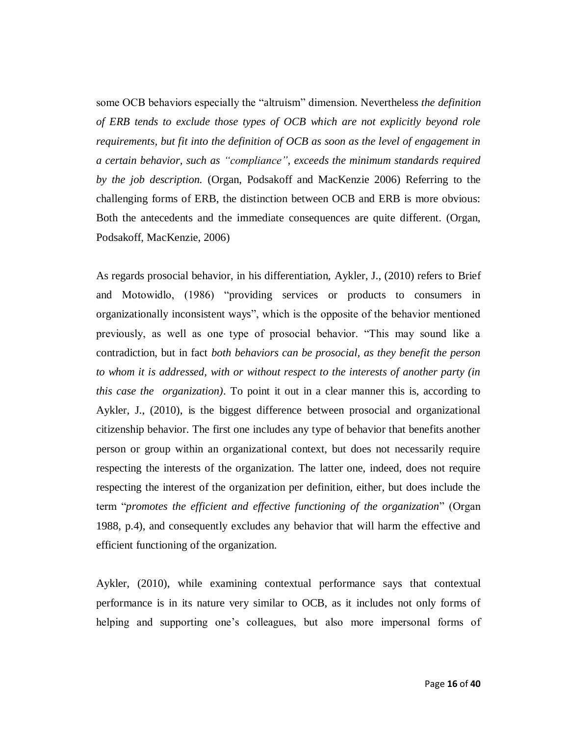some OCB behaviors especially the "altruism" dimension. Nevertheless *the definition of ERB tends to exclude those types of OCB which are not explicitly beyond role requirements, but fit into the definition of OCB as soon as the level of engagement in a certain behavior, such as "compliance", exceeds the minimum standards required by the job description.* (Organ, Podsakoff and MacKenzie 2006) Referring to the challenging forms of ERB, the distinction between OCB and ERB is more obvious: Both the antecedents and the immediate consequences are quite different. (Organ, Podsakoff, MacKenzie, 2006)

As regards prosocial behavior, in his differentiation, Aykler, J., (2010) refers to Brief and Motowidlo, (1986) "providing services or products to consumers in organizationally inconsistent ways", which is the opposite of the behavior mentioned previously, as well as one type of prosocial behavior. "This may sound like a contradiction, but in fact *both behaviors can be prosocial, as they benefit the person to whom it is addressed, with or without respect to the interests of another party (in this case the organization)*. To point it out in a clear manner this is, according to Aykler, J., (2010), is the biggest difference between prosocial and organizational citizenship behavior. The first one includes any type of behavior that benefits another person or group within an organizational context, but does not necessarily require respecting the interests of the organization. The latter one, indeed, does not require respecting the interest of the organization per definition, either, but does include the term "*promotes the efficient and effective functioning of the organization*" (Organ 1988, p.4), and consequently excludes any behavior that will harm the effective and efficient functioning of the organization.

Aykler, (2010), while examining contextual performance says that contextual performance is in its nature very similar to OCB, as it includes not only forms of helping and supporting one's colleagues, but also more impersonal forms of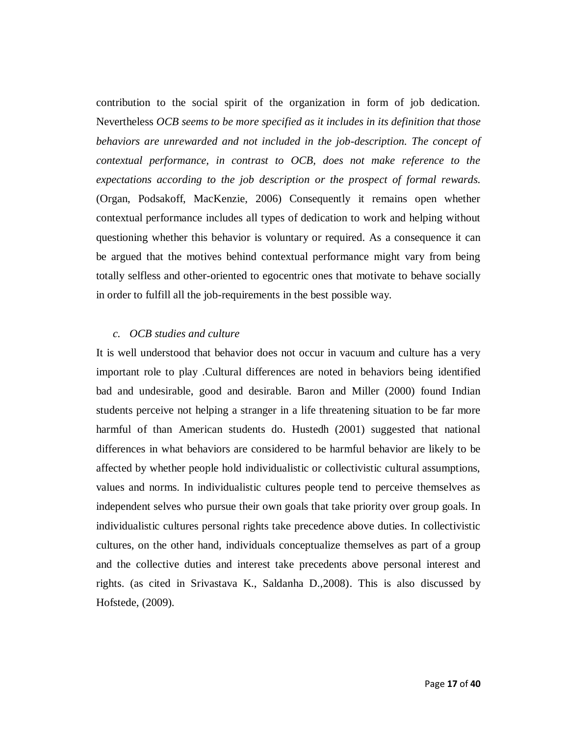contribution to the social spirit of the organization in form of job dedication. Nevertheless *OCB seems to be more specified as it includes in its definition that those behaviors are unrewarded and not included in the job-description. The concept of contextual performance, in contrast to OCB, does not make reference to the expectations according to the job description or the prospect of formal rewards.* (Organ, Podsakoff, MacKenzie, 2006) Consequently it remains open whether contextual performance includes all types of dedication to work and helping without questioning whether this behavior is voluntary or required. As a consequence it can be argued that the motives behind contextual performance might vary from being totally selfless and other-oriented to egocentric ones that motivate to behave socially in order to fulfill all the job-requirements in the best possible way.

#### *c. OCB studies and culture*

It is well understood that behavior does not occur in vacuum and culture has a very important role to play .Cultural differences are noted in behaviors being identified bad and undesirable, good and desirable. Baron and Miller (2000) found Indian students perceive not helping a stranger in a life threatening situation to be far more harmful of than American students do. Hustedh (2001) suggested that national differences in what behaviors are considered to be harmful behavior are likely to be affected by whether people hold individualistic or collectivistic cultural assumptions, values and norms. In individualistic cultures people tend to perceive themselves as independent selves who pursue their own goals that take priority over group goals. In individualistic cultures personal rights take precedence above duties. In collectivistic cultures, on the other hand, individuals conceptualize themselves as part of a group and the collective duties and interest take precedents above personal interest and rights. (as cited in Srivastava K., Saldanha D.,2008). This is also discussed by Hofstede, (2009).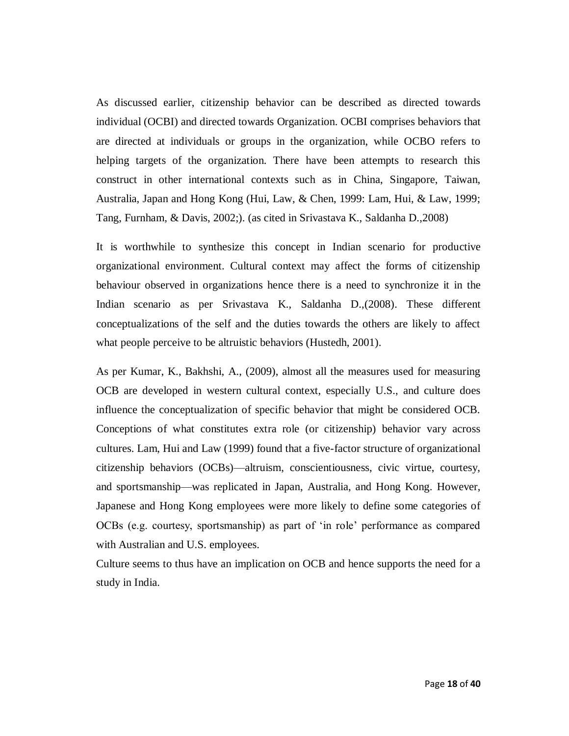As discussed earlier, citizenship behavior can be described as directed towards individual (OCBI) and directed towards Organization. OCBI comprises behaviors that are directed at individuals or groups in the organization, while OCBO refers to helping targets of the organization. There have been attempts to research this construct in other international contexts such as in China, Singapore, Taiwan, Australia, Japan and Hong Kong (Hui, Law, & Chen, 1999: Lam, Hui, & Law, 1999; Tang, Furnham, & Davis, 2002;). (as cited in Srivastava K., Saldanha D.,2008)

It is worthwhile to synthesize this concept in Indian scenario for productive organizational environment. Cultural context may affect the forms of citizenship behaviour observed in organizations hence there is a need to synchronize it in the Indian scenario as per Srivastava K., Saldanha D.,(2008). These different conceptualizations of the self and the duties towards the others are likely to affect what people perceive to be altruistic behaviors (Hustedh, 2001).

As per Kumar, K., Bakhshi, A., (2009), almost all the measures used for measuring OCB are developed in western cultural context, especially U.S., and culture does influence the conceptualization of specific behavior that might be considered OCB. Conceptions of what constitutes extra role (or citizenship) behavior vary across cultures. Lam, Hui and Law (1999) found that a five-factor structure of organizational citizenship behaviors (OCBs)—altruism, conscientiousness, civic virtue, courtesy, and sportsmanship—was replicated in Japan, Australia, and Hong Kong. However, Japanese and Hong Kong employees were more likely to define some categories of OCBs (e.g. courtesy, sportsmanship) as part of 'in role' performance as compared with Australian and U.S. employees.

Culture seems to thus have an implication on OCB and hence supports the need for a study in India.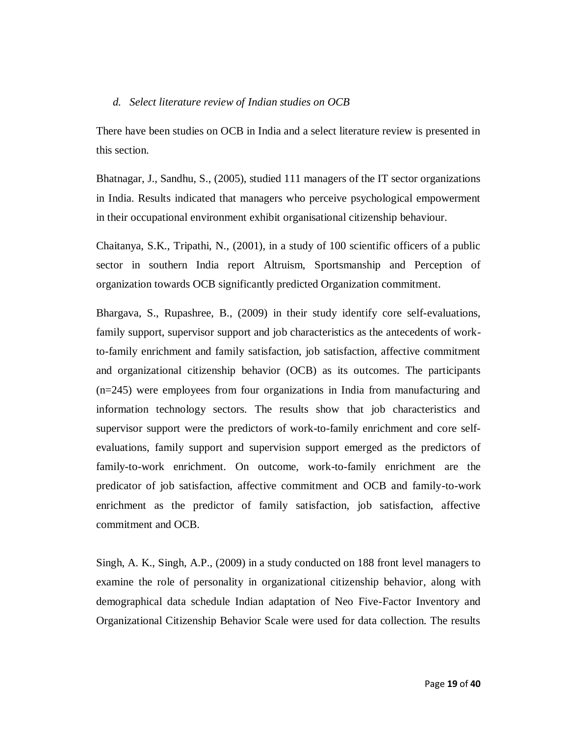#### *d. Select literature review of Indian studies on OCB*

There have been studies on OCB in India and a select literature review is presented in this section.

Bhatnagar, J., Sandhu, S., (2005), studied 111 managers of the IT sector organizations in India. Results indicated that managers who perceive psychological empowerment in their occupational environment exhibit organisational citizenship behaviour.

Chaitanya, S.K., Tripathi, N., (2001), in a study of 100 scientific officers of a public sector in southern India report Altruism, Sportsmanship and Perception of organization towards OCB significantly predicted Organization commitment.

Bhargava, S., Rupashree, B., (2009) in their study identify core self-evaluations, family support, supervisor support and job characteristics as the antecedents of workto-family enrichment and family satisfaction, job satisfaction, affective commitment and organizational citizenship behavior (OCB) as its outcomes. The participants (n=245) were employees from four organizations in India from manufacturing and information technology sectors. The results show that job characteristics and supervisor support were the predictors of work-to-family enrichment and core selfevaluations, family support and supervision support emerged as the predictors of family-to-work enrichment. On outcome, work-to-family enrichment are the predicator of job satisfaction, affective commitment and OCB and family-to-work enrichment as the predictor of family satisfaction, job satisfaction, affective commitment and OCB.

Singh, A. K., Singh, A.P., (2009) in a study conducted on 188 front level managers to examine the role of personality in organizational citizenship behavior, along with demographical data schedule Indian adaptation of Neo Five-Factor Inventory and Organizational Citizenship Behavior Scale were used for data collection. The results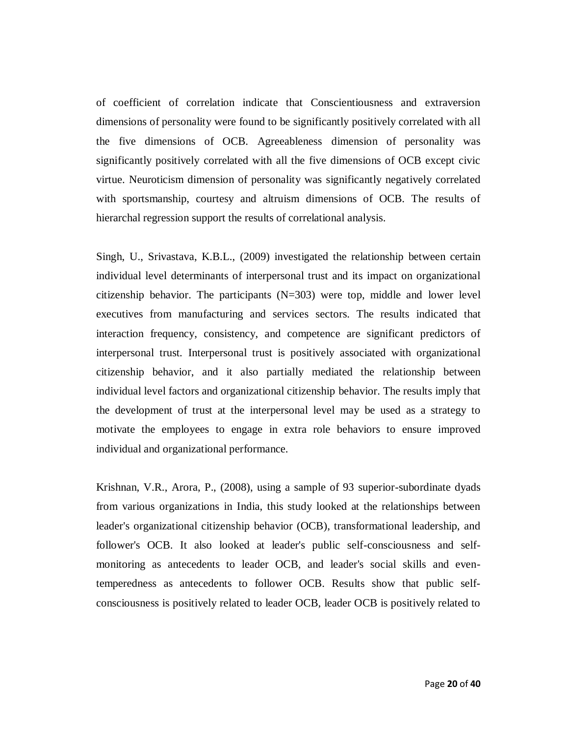of coefficient of correlation indicate that Conscientiousness and extraversion dimensions of personality were found to be significantly positively correlated with all the five dimensions of OCB. Agreeableness dimension of personality was significantly positively correlated with all the five dimensions of OCB except civic virtue. Neuroticism dimension of personality was significantly negatively correlated with sportsmanship, courtesy and altruism dimensions of OCB. The results of hierarchal regression support the results of correlational analysis.

Singh, U., Srivastava, K.B.L., (2009) investigated the relationship between certain individual level determinants of interpersonal trust and its impact on organizational citizenship behavior. The participants  $(N=303)$  were top, middle and lower level executives from manufacturing and services sectors. The results indicated that interaction frequency, consistency, and competence are significant predictors of interpersonal trust. Interpersonal trust is positively associated with organizational citizenship behavior, and it also partially mediated the relationship between individual level factors and organizational citizenship behavior. The results imply that the development of trust at the interpersonal level may be used as a strategy to motivate the employees to engage in extra role behaviors to ensure improved individual and organizational performance.

Krishnan, V.R., Arora, P., (2008), using a sample of 93 superior-subordinate dyads from various organizations in India, this study looked at the relationships between leader's organizational citizenship behavior (OCB), transformational leadership, and follower's OCB. It also looked at leader's public self-consciousness and selfmonitoring as antecedents to leader OCB, and leader's social skills and eventemperedness as antecedents to follower OCB. Results show that public selfconsciousness is positively related to leader OCB, leader OCB is positively related to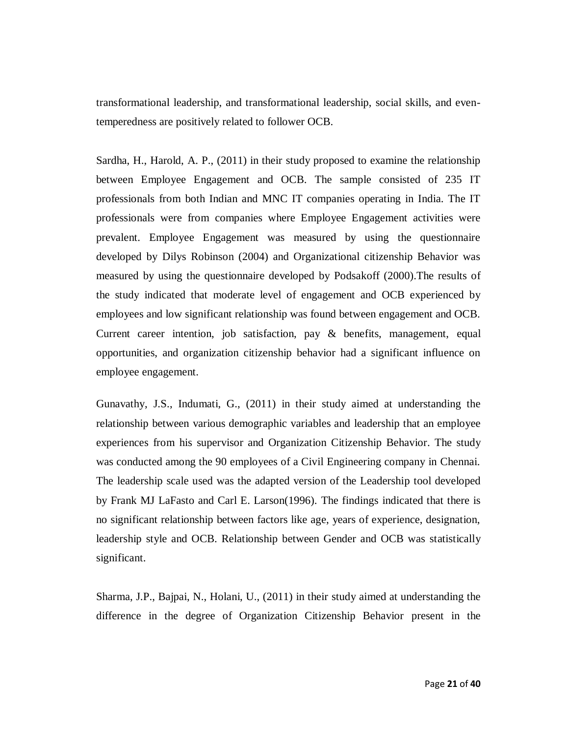transformational leadership, and transformational leadership, social skills, and eventemperedness are positively related to follower OCB.

Sardha, H., Harold, A. P., (2011) in their study proposed to examine the relationship between Employee Engagement and OCB. The sample consisted of 235 IT professionals from both Indian and MNC IT companies operating in India. The IT professionals were from companies where Employee Engagement activities were prevalent. Employee Engagement was measured by using the questionnaire developed by Dilys Robinson (2004) and Organizational citizenship Behavior was measured by using the questionnaire developed by Podsakoff (2000).The results of the study indicated that moderate level of engagement and OCB experienced by employees and low significant relationship was found between engagement and OCB. Current career intention, job satisfaction, pay & benefits, management, equal opportunities, and organization citizenship behavior had a significant influence on employee engagement.

Gunavathy, J.S., Indumati, G., (2011) in their study aimed at understanding the relationship between various demographic variables and leadership that an employee experiences from his supervisor and Organization Citizenship Behavior. The study was conducted among the 90 employees of a Civil Engineering company in Chennai. The leadership scale used was the adapted version of the Leadership tool developed by Frank MJ LaFasto and Carl E. Larson(1996). The findings indicated that there is no significant relationship between factors like age, years of experience, designation, leadership style and OCB. Relationship between Gender and OCB was statistically significant.

Sharma, J.P., Bajpai, N., Holani, U., (2011) in their study aimed at understanding the difference in the degree of Organization Citizenship Behavior present in the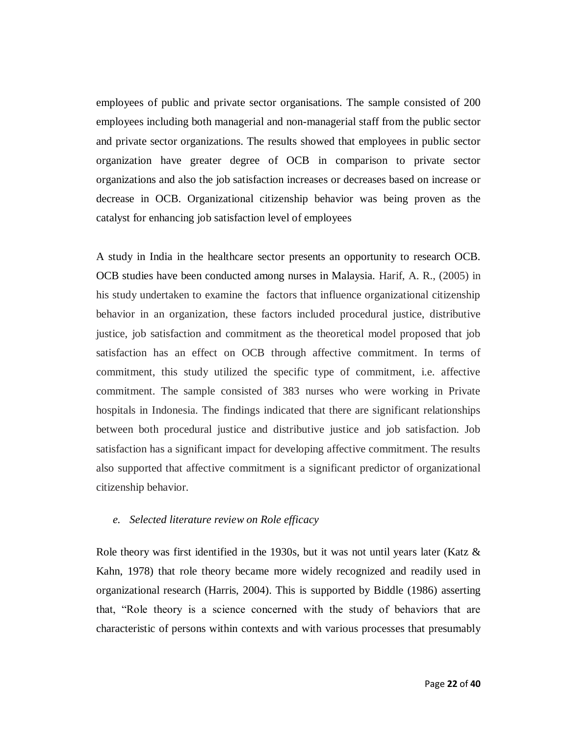employees of public and private sector organisations. The sample consisted of 200 employees including both managerial and non-managerial staff from the public sector and private sector organizations. The results showed that employees in public sector organization have greater degree of OCB in comparison to private sector organizations and also the job satisfaction increases or decreases based on increase or decrease in OCB. Organizational citizenship behavior was being proven as the catalyst for enhancing job satisfaction level of employees

A study in India in the healthcare sector presents an opportunity to research OCB. OCB studies have been conducted among nurses in Malaysia. Harif, A. R., (2005) in his study undertaken to examine the factors that influence organizational citizenship behavior in an organization, these factors included procedural justice, distributive justice, job satisfaction and commitment as the theoretical model proposed that job satisfaction has an effect on OCB through affective commitment. In terms of commitment, this study utilized the specific type of commitment, i.e. affective commitment. The sample consisted of 383 nurses who were working in Private hospitals in Indonesia. The findings indicated that there are significant relationships between both procedural justice and distributive justice and job satisfaction. Job satisfaction has a significant impact for developing affective commitment. The results also supported that affective commitment is a significant predictor of organizational citizenship behavior.

#### *e. Selected literature review on Role efficacy*

Role theory was first identified in the 1930s, but it was not until years later (Katz & Kahn, 1978) that role theory became more widely recognized and readily used in organizational research (Harris, 2004). This is supported by Biddle (1986) asserting that, "Role theory is a science concerned with the study of behaviors that are characteristic of persons within contexts and with various processes that presumably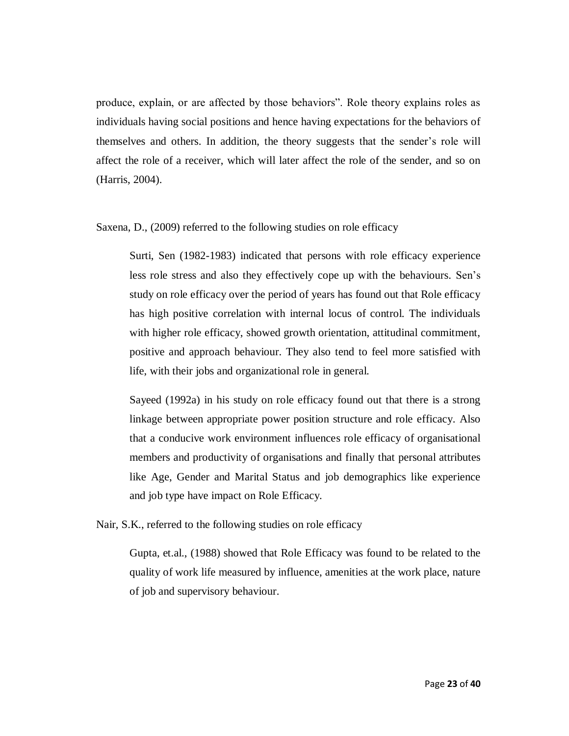produce, explain, or are affected by those behaviors". Role theory explains roles as individuals having social positions and hence having expectations for the behaviors of themselves and others. In addition, the theory suggests that the sender's role will affect the role of a receiver, which will later affect the role of the sender, and so on (Harris, 2004).

Saxena, D., (2009) referred to the following studies on role efficacy

Surti, Sen (1982-1983) indicated that persons with role efficacy experience less role stress and also they effectively cope up with the behaviours. Sen's study on role efficacy over the period of years has found out that Role efficacy has high positive correlation with internal locus of control. The individuals with higher role efficacy, showed growth orientation, attitudinal commitment, positive and approach behaviour. They also tend to feel more satisfied with life, with their jobs and organizational role in general.

Sayeed (1992a) in his study on role efficacy found out that there is a strong linkage between appropriate power position structure and role efficacy. Also that a conducive work environment influences role efficacy of organisational members and productivity of organisations and finally that personal attributes like Age, Gender and Marital Status and job demographics like experience and job type have impact on Role Efficacy.

Nair, S.K., referred to the following studies on role efficacy

Gupta, et.al., (1988) showed that Role Efficacy was found to be related to the quality of work life measured by influence, amenities at the work place, nature of job and supervisory behaviour.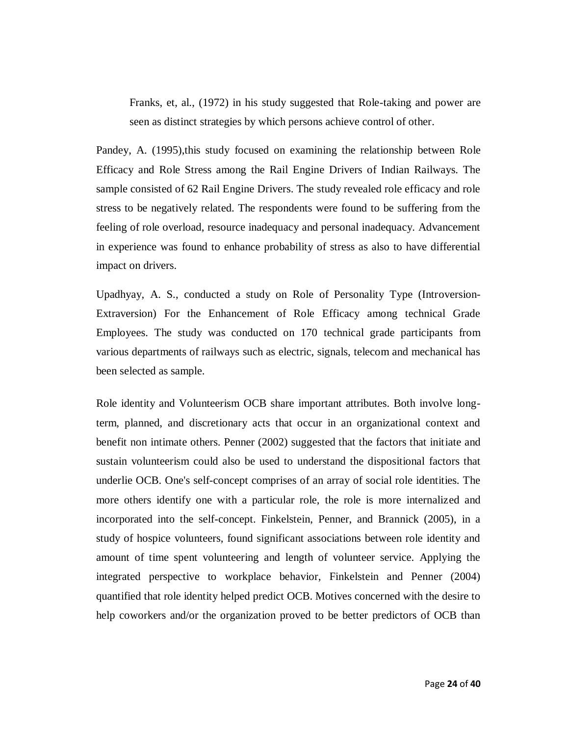Franks, et, al., (1972) in his study suggested that Role-taking and power are seen as distinct strategies by which persons achieve control of other.

Pandey, A. (1995),this study focused on examining the relationship between Role Efficacy and Role Stress among the Rail Engine Drivers of Indian Railways. The sample consisted of 62 Rail Engine Drivers. The study revealed role efficacy and role stress to be negatively related. The respondents were found to be suffering from the feeling of role overload, resource inadequacy and personal inadequacy. Advancement in experience was found to enhance probability of stress as also to have differential impact on drivers.

Upadhyay, A. S., conducted a study on Role of Personality Type (Introversion-Extraversion) For the Enhancement of Role Efficacy among technical Grade Employees. The study was conducted on 170 technical grade participants from various departments of railways such as electric, signals, telecom and mechanical has been selected as sample.

Role identity and Volunteerism OCB share important attributes. Both involve longterm, planned, and discretionary acts that occur in an organizational context and benefit non intimate others. Penner (2002) suggested that the factors that initiate and sustain volunteerism could also be used to understand the dispositional factors that underlie OCB. One's self-concept comprises of an array of social role identities. The more others identify one with a particular role, the role is more internalized and incorporated into the self-concept. Finkelstein, Penner, and Brannick (2005), in a study of hospice volunteers, found significant associations between role identity and amount of time spent volunteering and length of volunteer service. Applying the integrated perspective to workplace behavior, Finkelstein and Penner (2004) quantified that role identity helped predict OCB. Motives concerned with the desire to help coworkers and/or the organization proved to be better predictors of OCB than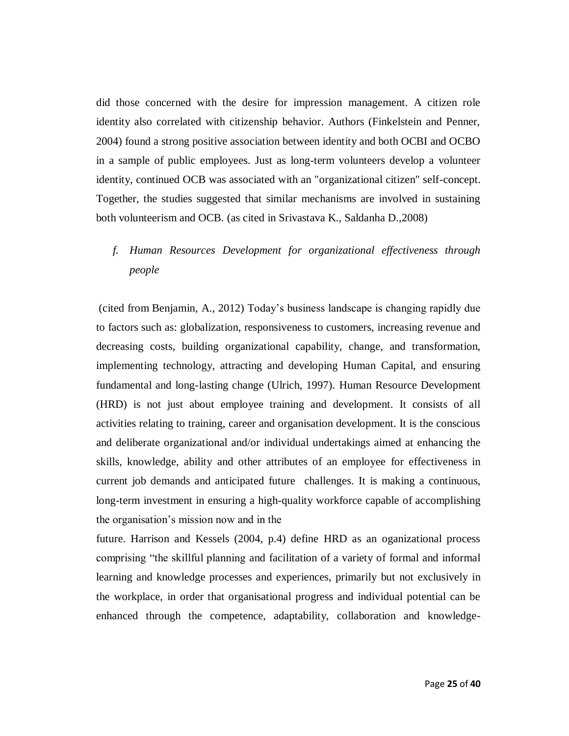did those concerned with the desire for impression management. A citizen role identity also correlated with citizenship behavior. Authors (Finkelstein and Penner, 2004) found a strong positive association between identity and both OCBI and OCBO in a sample of public employees. Just as long-term volunteers develop a volunteer identity, continued OCB was associated with an "organizational citizen" self-concept. Together, the studies suggested that similar mechanisms are involved in sustaining both volunteerism and OCB. (as cited in Srivastava K., Saldanha D.,2008)

# *f. Human Resources Development for organizational effectiveness through people*

(cited from Benjamin, A., 2012) Today's business landscape is changing rapidly due to factors such as: globalization, responsiveness to customers, increasing revenue and decreasing costs, building organizational capability, change, and transformation, implementing technology, attracting and developing Human Capital, and ensuring fundamental and long-lasting change (Ulrich, 1997). Human Resource Development (HRD) is not just about employee training and development. It consists of all activities relating to training, career and organisation development. It is the conscious and deliberate organizational and/or individual undertakings aimed at enhancing the skills, knowledge, ability and other attributes of an employee for effectiveness in current job demands and anticipated future challenges. It is making a continuous, long-term investment in ensuring a high-quality workforce capable of accomplishing the organisation's mission now and in the

future. Harrison and Kessels (2004, p.4) define HRD as an oganizational process comprising "the skillful planning and facilitation of a variety of formal and informal learning and knowledge processes and experiences, primarily but not exclusively in the workplace, in order that organisational progress and individual potential can be enhanced through the competence, adaptability, collaboration and knowledge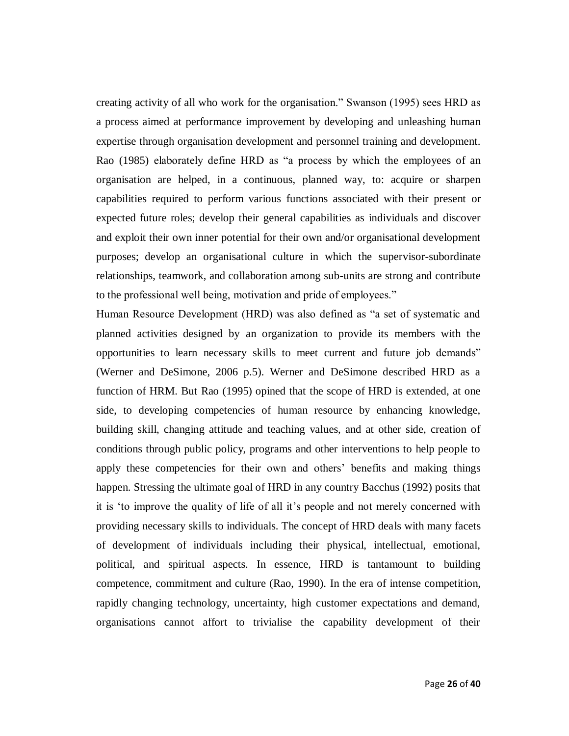creating activity of all who work for the organisation." Swanson (1995) sees HRD as a process aimed at performance improvement by developing and unleashing human expertise through organisation development and personnel training and development. Rao (1985) elaborately define HRD as "a process by which the employees of an organisation are helped, in a continuous, planned way, to: acquire or sharpen capabilities required to perform various functions associated with their present or expected future roles; develop their general capabilities as individuals and discover and exploit their own inner potential for their own and/or organisational development purposes; develop an organisational culture in which the supervisor-subordinate relationships, teamwork, and collaboration among sub-units are strong and contribute to the professional well being, motivation and pride of employees."

Human Resource Development (HRD) was also defined as "a set of systematic and planned activities designed by an organization to provide its members with the opportunities to learn necessary skills to meet current and future job demands" (Werner and DeSimone, 2006 p.5). Werner and DeSimone described HRD as a function of HRM. But Rao (1995) opined that the scope of HRD is extended, at one side, to developing competencies of human resource by enhancing knowledge, building skill, changing attitude and teaching values, and at other side, creation of conditions through public policy, programs and other interventions to help people to apply these competencies for their own and others' benefits and making things happen. Stressing the ultimate goal of HRD in any country Bacchus (1992) posits that it is 'to improve the quality of life of all it's people and not merely concerned with providing necessary skills to individuals. The concept of HRD deals with many facets of development of individuals including their physical, intellectual, emotional, political, and spiritual aspects. In essence, HRD is tantamount to building competence, commitment and culture (Rao, 1990). In the era of intense competition, rapidly changing technology, uncertainty, high customer expectations and demand, organisations cannot affort to trivialise the capability development of their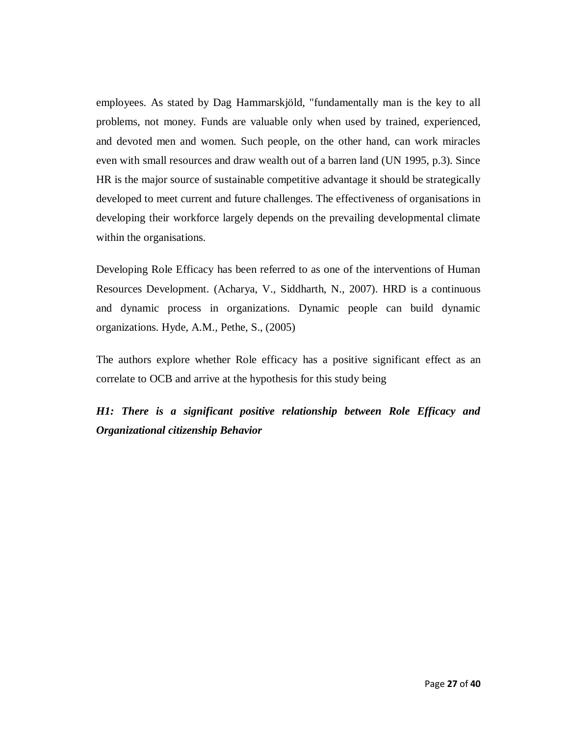employees. As stated by Dag Hammarskjöld, "fundamentally man is the key to all problems, not money. Funds are valuable only when used by trained, experienced, and devoted men and women. Such people, on the other hand, can work miracles even with small resources and draw wealth out of a barren land (UN 1995, p.3). Since HR is the major source of sustainable competitive advantage it should be strategically developed to meet current and future challenges. The effectiveness of organisations in developing their workforce largely depends on the prevailing developmental climate within the organisations.

Developing Role Efficacy has been referred to as one of the interventions of Human Resources Development. (Acharya, V., Siddharth, N., 2007). HRD is a continuous and dynamic process in organizations. Dynamic people can build dynamic organizations. Hyde, A.M., Pethe, S., (2005)

The authors explore whether Role efficacy has a positive significant effect as an correlate to OCB and arrive at the hypothesis for this study being

*H1: There is a significant positive relationship between Role Efficacy and Organizational citizenship Behavior*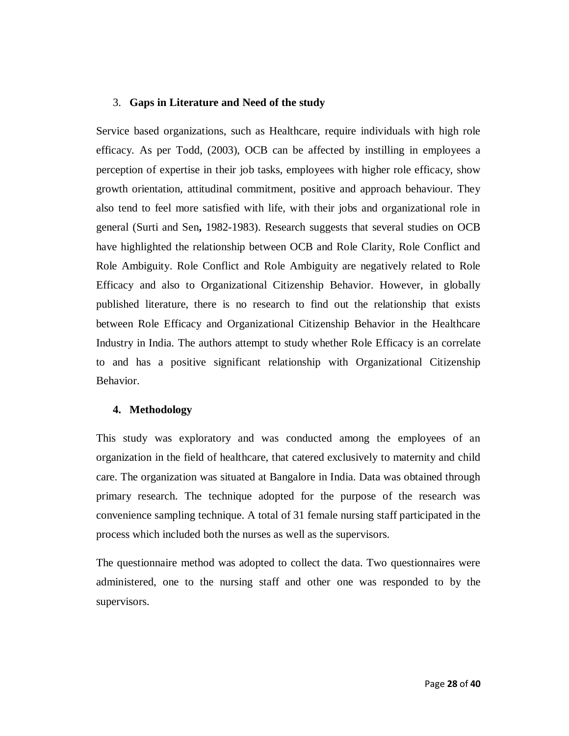### 3. **Gaps in Literature and Need of the study**

Service based organizations, such as Healthcare, require individuals with high role efficacy. As per Todd, (2003), OCB can be affected by instilling in employees a perception of expertise in their job tasks, employees with higher role efficacy, show growth orientation, attitudinal commitment, positive and approach behaviour. They also tend to feel more satisfied with life, with their jobs and organizational role in general (Surti and Sen**,** 1982-1983). Research suggests that several studies on OCB have highlighted the relationship between OCB and Role Clarity, Role Conflict and Role Ambiguity. Role Conflict and Role Ambiguity are negatively related to Role Efficacy and also to Organizational Citizenship Behavior. However, in globally published literature, there is no research to find out the relationship that exists between Role Efficacy and Organizational Citizenship Behavior in the Healthcare Industry in India. The authors attempt to study whether Role Efficacy is an correlate to and has a positive significant relationship with Organizational Citizenship Behavior.

#### **4. Methodology**

This study was exploratory and was conducted among the employees of an organization in the field of healthcare, that catered exclusively to maternity and child care. The organization was situated at Bangalore in India. Data was obtained through primary research. The technique adopted for the purpose of the research was convenience sampling technique. A total of 31 female nursing staff participated in the process which included both the nurses as well as the supervisors.

The questionnaire method was adopted to collect the data. Two questionnaires were administered, one to the nursing staff and other one was responded to by the supervisors.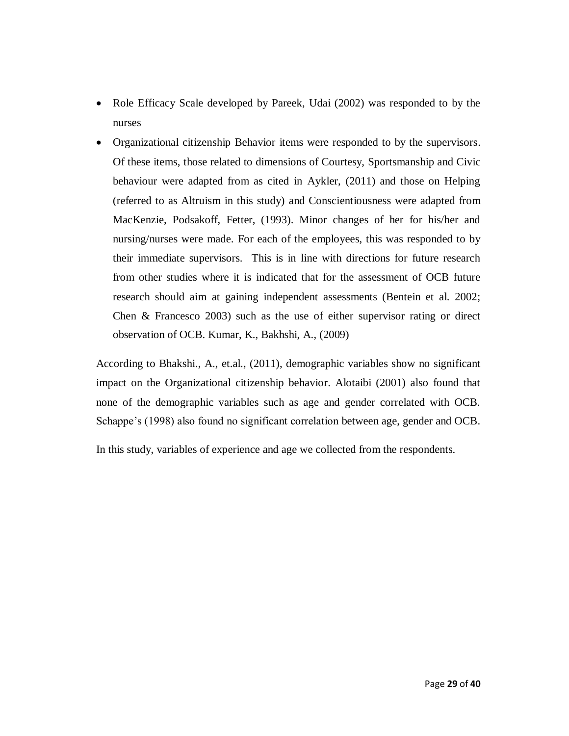- Role Efficacy Scale developed by Pareek, Udai (2002) was responded to by the nurses
- Organizational citizenship Behavior items were responded to by the supervisors. Of these items, those related to dimensions of Courtesy, Sportsmanship and Civic behaviour were adapted from as cited in Aykler, (2011) and those on Helping (referred to as Altruism in this study) and Conscientiousness were adapted from MacKenzie, Podsakoff, Fetter, (1993). Minor changes of her for his/her and nursing/nurses were made. For each of the employees, this was responded to by their immediate supervisors. This is in line with directions for future research from other studies where it is indicated that for the assessment of OCB future research should aim at gaining independent assessments (Bentein et al. 2002; Chen & Francesco 2003) such as the use of either supervisor rating or direct observation of OCB. Kumar, K., Bakhshi, A., (2009)

According to Bhakshi., A., et.al., (2011), demographic variables show no significant impact on the Organizational citizenship behavior. Alotaibi (2001) also found that none of the demographic variables such as age and gender correlated with OCB. Schappe's (1998) also found no significant correlation between age, gender and OCB.

In this study, variables of experience and age we collected from the respondents.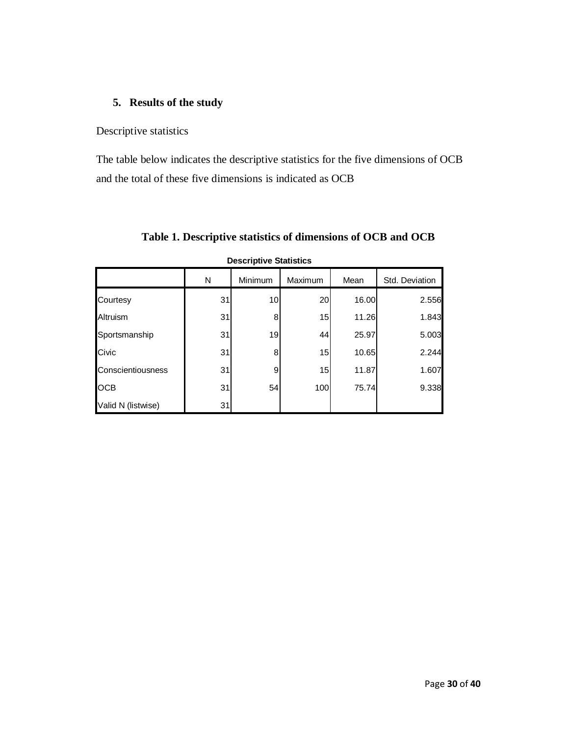# **5. Results of the study**

Descriptive statistics

The table below indicates the descriptive statistics for the five dimensions of OCB and the total of these five dimensions is indicated as OCB

| <b>Descriptive Statistics</b> |    |         |         |       |                |  |  |
|-------------------------------|----|---------|---------|-------|----------------|--|--|
|                               | N  | Minimum | Maximum | Mean  | Std. Deviation |  |  |
| Courtesy                      | 31 | 10      | 20      | 16.00 | 2.556          |  |  |
| Altruism                      | 31 | 8       | 15      | 11.26 | 1.843          |  |  |
| Sportsmanship                 | 31 | 19      | 44      | 25.97 | 5.003          |  |  |
| Civic                         | 31 | 8       | 15      | 10.65 | 2.244          |  |  |
| Conscientiousness             | 31 | 9       | 15      | 11.87 | 1.607          |  |  |
| <b>OCB</b>                    | 31 | 54      | 100     | 75.74 | 9.338          |  |  |
| Valid N (listwise)            | 31 |         |         |       |                |  |  |

**Table 1. Descriptive statistics of dimensions of OCB and OCB**

Page **30** of **40**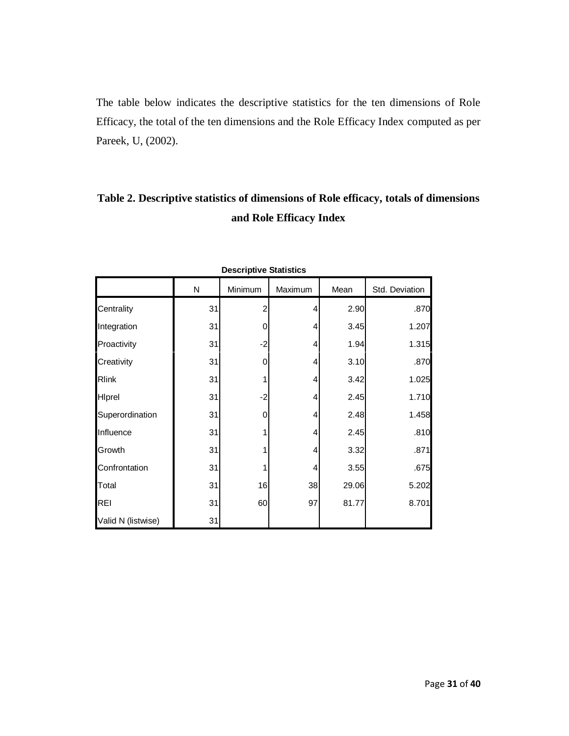The table below indicates the descriptive statistics for the ten dimensions of Role Efficacy, the total of the ten dimensions and the Role Efficacy Index computed as per Pareek, U, (2002).

# **Table 2. Descriptive statistics of dimensions of Role efficacy, totals of dimensions and Role Efficacy Index**

| Descriptive Statistics |    |         |         |       |                |  |  |
|------------------------|----|---------|---------|-------|----------------|--|--|
|                        | N  | Minimum | Maximum | Mean  | Std. Deviation |  |  |
| Centrality             | 31 | 2       | 4       | 2.90  | .870           |  |  |
| Integration            | 31 | 0       | 4       | 3.45  | 1.207          |  |  |
| Proactivity            | 31 | $-2$    | 4       | 1.94  | 1.315          |  |  |
| Creativity             | 31 | 0       | 4       | 3.10  | .870           |  |  |
| <b>Rlink</b>           | 31 |         | 4       | 3.42  | 1.025          |  |  |
| Hiprel                 | 31 | $-2$    | 4       | 2.45  | 1.710          |  |  |
| Superordination        | 31 | 0       | 4       | 2.48  | 1.458          |  |  |
| Influence              | 31 |         | 4       | 2.45  | .810           |  |  |
| Growth                 | 31 |         | 4       | 3.32  | .871           |  |  |
| Confrontation          | 31 |         | 4       | 3.55  | .675           |  |  |
| Total                  | 31 | 16      | 38      | 29.06 | 5.202          |  |  |
| <b>REI</b>             | 31 | 60      | 97      | 81.77 | 8.701          |  |  |
| Valid N (listwise)     | 31 |         |         |       |                |  |  |

| <b>Descriptive Statistics</b> |  |
|-------------------------------|--|
|-------------------------------|--|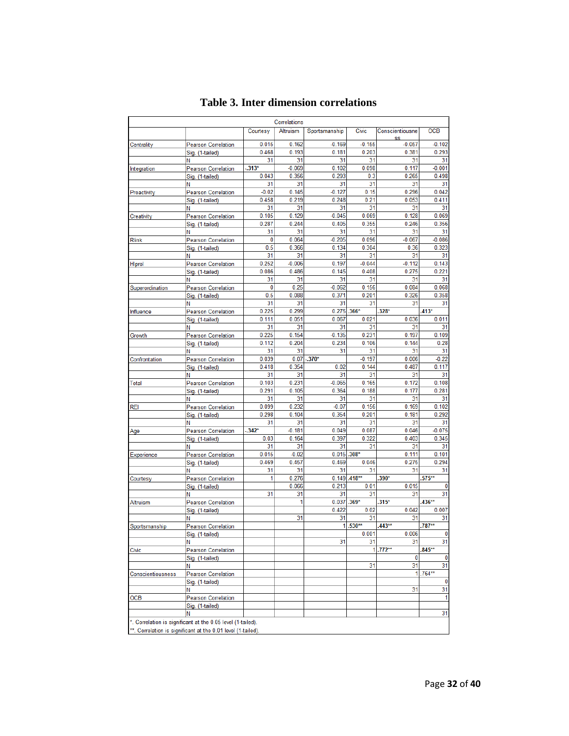|                   |                                                                                                                             |              | Correlations      |                |                |                 |                |
|-------------------|-----------------------------------------------------------------------------------------------------------------------------|--------------|-------------------|----------------|----------------|-----------------|----------------|
|                   |                                                                                                                             | Courtesy     | Altruism          | Sportsmanship  | Civic          | Conscientiousne | <b>OCB</b>     |
| Centrality        | <b>Pearson Correlation</b>                                                                                                  | 0.015        | 0.162             | $-0.169$       | $-0.155$       | SS<br>$-0.057$  | $-0.102$       |
|                   | Sig. (1-tailed)                                                                                                             | 0.468        | 0.193             | 0.181          | 0.203          | 0.381           | 0.293          |
|                   | Ν                                                                                                                           | 31           | 31                | 31             | 31             | 31              | 31             |
| Integration       | Pearson Correlation                                                                                                         | $.313*$      | $-0.069$          | 0.102          | 0.098          | 0.117           | $-0.001$       |
|                   | Sig. (1-tailed)                                                                                                             | 0.043        | 0.356             | 0.293          | 0.3            | 0.265           | 0.498          |
|                   | Ν                                                                                                                           | 31           | 31                | 31             | 31             | 31              | 31             |
| Proactivity       | <b>Pearson Correlation</b>                                                                                                  | $-0.02$      | 0.145             | $-0.127$       | 0.15           | 0.296           | 0.042          |
|                   | Sig. (1-tailed)                                                                                                             | 0.458        | 0.219             | 0.248          | 0.21           | 0.053           | 0.411          |
|                   | Ν                                                                                                                           | 31           | 31                | 31             | 31             | 31              | 31             |
| Creativity        | <b>Pearson Correlation</b>                                                                                                  | 0.105        | 0.129             | $-0.045$       | 0.069          | 0.128           | 0.069          |
|                   | Sig. (1-tailed)                                                                                                             | 0.287        | 0.244             | 0.405          | 0.355          | 0.246           | 0.356          |
|                   | Ν                                                                                                                           | 31<br>0      | 31<br>0.064       | 31<br>$-0.205$ | 31<br>0.096    | 31<br>$-0.067$  | 31<br>$-0.086$ |
| Rlink             | Pearson Correlation                                                                                                         | 0.5          | 0.366             | 0.134          | 0.304          | 0.36            | 0.323          |
|                   | Sig. (1-tailed)<br>Ν                                                                                                        | 31           | 31                | 31             | 31             | 31              | 31             |
| Hiprel            | Pearson Correlation                                                                                                         | 0.252        | $-0.006$          | 0.197          | $-0.044$       | $-0.112$        | 0.143          |
|                   | Sig. (1-tailed)                                                                                                             | 0.086        | 0.486             | 0.145          | 0.408          | 0.275           | 0.221          |
|                   | Ν                                                                                                                           | 31           | 31                | 31             | 31             | 31              | 31             |
| Superordination   | Pearson Correlation                                                                                                         | $\mathbf{0}$ | 0.25              | $-0.062$       | 0.156          | 0.084           | 0.068          |
|                   | Sig. (1-tailed)                                                                                                             | 0.5          | 0.088             | 0.371          | 0.201          | 0.326           | 0.358          |
|                   | N                                                                                                                           | 31           | 31                | 31             | 31             | 31              | 31             |
| Influence         | Pearson Correlation                                                                                                         | 0.225        | 0.299             | 0.275          | $.366*$        | $.328*$         | $.413*$        |
|                   | Sig. (1-tailed)                                                                                                             | 0.111        | 0.051             | 0.067          | 0.021          | 0.036           | 0.011          |
|                   | Ν                                                                                                                           | 31           | 31                | 31             | 31             | 31              | 31             |
| Growth            | Pearson Correlation                                                                                                         | 0.225        | 0.154             | $-0.135$       | 0.231          | 0.197           | 0.109          |
|                   | Sig. (1-tailed)                                                                                                             | 0.112        | 0.204             | 0.234          | 0.106          | 0.144           | 0.28           |
|                   | Ν                                                                                                                           | 31           | 31                | 31             | 31             | 31              | 31             |
| Confrontation     | Pearson Correlation                                                                                                         | 0.039        | 0.07              | $-.370*$       | $-0.197$       | 0.006           | $-0.22$        |
|                   | Sig. (1-tailed)                                                                                                             | 0.418        | 0.354             | 0.02           | 0.144          | 0.487           | 0.117          |
|                   | Ν                                                                                                                           | 31           | 31                | 31             | 31             | 31              | 31             |
| Total             | <b>Pearson Correlation</b>                                                                                                  | 0.103        | 0.231             | $-0.065$       | 0.165          | 0.172           | 0.108          |
|                   | Sig. (1-tailed)                                                                                                             | 0.291        | 0.105             | 0.364          | 0.188          | 0.177           | 0.281          |
|                   | Ν                                                                                                                           | 31           | 31                | 31             | 31             | 31              | 31             |
| rei               | Pearson Correlation                                                                                                         | 0.099        | 0.232             | $-0.07$        | 0.156          | 0.169           | 0.102          |
|                   | Sig. (1-tailed)                                                                                                             | 0.298        | 0.104             | 0.354          | 0.201          | 0.181           | 0.292          |
|                   | N                                                                                                                           | 31           | 31                | 31             | 31             | 31              | 31             |
| Age               | Pearson Correlation                                                                                                         | $-342*$      | $-0.181$<br>0.164 | 0.049          | 0.087<br>0.322 | 0.046<br>0.403  | $-0.075$       |
|                   | Sig. (1-tailed)<br>Ν                                                                                                        | 0.03<br>31   | 31                | 0.397<br>31    | 31             | 31              | 0.345<br>31    |
| Experience        | <b>Pearson Correlation</b>                                                                                                  | 0.015        | $-0.02$           | 0.015          | $.308*$        | 0.111           | 0.101          |
|                   | Sig. (1-tailed)                                                                                                             | 0.469        | 0.457             | 0.469          | 0.046          | 0.275           | 0.294          |
|                   | Ν                                                                                                                           | 31           | 31                | 31             | 31             | 31              | 31             |
| Courtesy          | Pearson Correlation                                                                                                         | 1            | 0.276             |                | $0.149$ .418** | $.390*$         | $.575***$      |
|                   | Sig. (1-tailed)                                                                                                             |              | 0.066             | 0.213          | 0.01           | 0.015           | 0              |
|                   | Ν                                                                                                                           | 31           | 31                | 31             | 31             | 31              | 31             |
| <b>Altruism</b>   | <b>Pearson Correlation</b>                                                                                                  |              | 1                 | $0.037$ .369*  |                | $.315*$         | $.436**$       |
|                   | Sig. (1-tailed)                                                                                                             |              |                   | 0.422          | 0.02           | 0.042           | 0.007          |
|                   | N                                                                                                                           |              | 31                | 31             | 31             | 31              | 31             |
| Sportsmanship     | Pearson Correlation                                                                                                         |              |                   | 1              | $.530**$       | $.443**$        | $.787**$       |
|                   | Sig. (1-tailed)                                                                                                             |              |                   |                | 0.001          | 0.006           | $\mathbf 0$    |
|                   | Ν                                                                                                                           |              |                   | 31             | 31             | 31              | 31             |
| Civic             | <b>Pearson Correlation</b>                                                                                                  |              |                   |                |                | $1.772**$       | $.845***$      |
|                   | Sig. (1-tailed)                                                                                                             |              |                   |                |                | 0               | 0              |
|                   | N                                                                                                                           |              |                   |                | 31             | 31              | 31             |
| Conscientiousness | <b>Pearson Correlation</b>                                                                                                  |              |                   |                |                |                 | $1.764**$      |
|                   | Sig. (1-tailed)                                                                                                             |              |                   |                |                |                 | 0              |
|                   | Ν                                                                                                                           |              |                   |                |                | 31              | 31             |
| OCB               | <b>Pearson Correlation</b>                                                                                                  |              |                   |                |                |                 | 1              |
|                   | Sig. (1-tailed)                                                                                                             |              |                   |                |                |                 |                |
|                   | Ν                                                                                                                           |              |                   |                |                |                 | 31             |
|                   | *. Correlation is significant at the 0.05 level (1-tailed).<br>**. Correlation is significant at the 0.01 level (1-tailed). |              |                   |                |                |                 |                |

# **Table 3. Inter dimension correlations**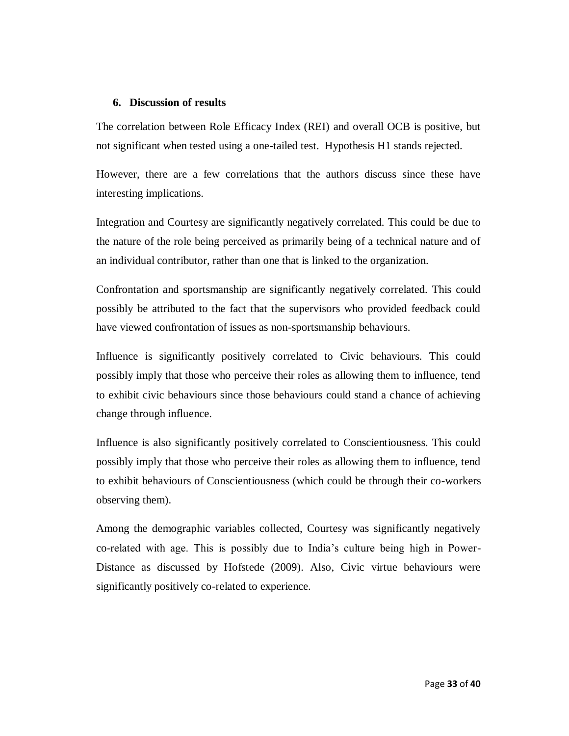#### **6. Discussion of results**

The correlation between Role Efficacy Index (REI) and overall OCB is positive, but not significant when tested using a one-tailed test. Hypothesis H1 stands rejected.

However, there are a few correlations that the authors discuss since these have interesting implications.

Integration and Courtesy are significantly negatively correlated. This could be due to the nature of the role being perceived as primarily being of a technical nature and of an individual contributor, rather than one that is linked to the organization.

Confrontation and sportsmanship are significantly negatively correlated. This could possibly be attributed to the fact that the supervisors who provided feedback could have viewed confrontation of issues as non-sportsmanship behaviours.

Influence is significantly positively correlated to Civic behaviours. This could possibly imply that those who perceive their roles as allowing them to influence, tend to exhibit civic behaviours since those behaviours could stand a chance of achieving change through influence.

Influence is also significantly positively correlated to Conscientiousness. This could possibly imply that those who perceive their roles as allowing them to influence, tend to exhibit behaviours of Conscientiousness (which could be through their co-workers observing them).

Among the demographic variables collected, Courtesy was significantly negatively co-related with age. This is possibly due to India's culture being high in Power-Distance as discussed by Hofstede (2009). Also, Civic virtue behaviours were significantly positively co-related to experience.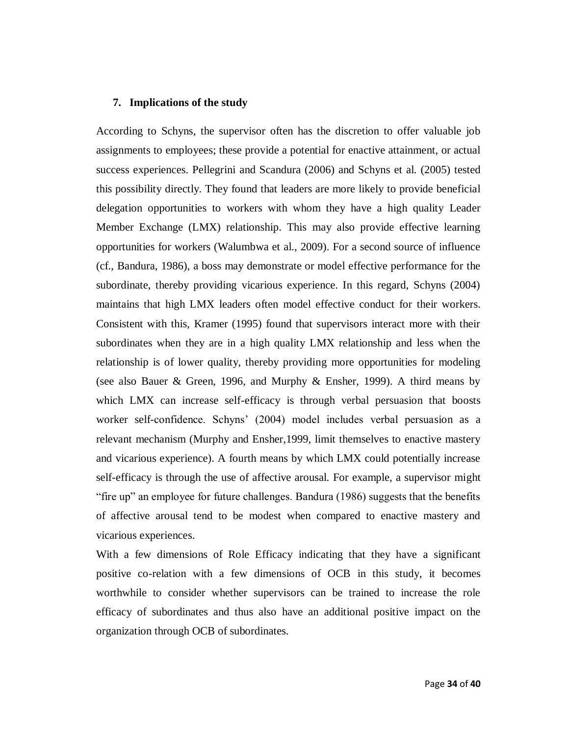#### **7. Implications of the study**

According to Schyns, the supervisor often has the discretion to offer valuable job assignments to employees; these provide a potential for enactive attainment, or actual success experiences. Pellegrini and Scandura (2006) and Schyns et al. (2005) tested this possibility directly. They found that leaders are more likely to provide beneficial delegation opportunities to workers with whom they have a high quality Leader Member Exchange (LMX) relationship. This may also provide effective learning opportunities for workers (Walumbwa et al., 2009). For a second source of influence (cf., Bandura, 1986), a boss may demonstrate or model effective performance for the subordinate, thereby providing vicarious experience. In this regard, Schyns (2004) maintains that high LMX leaders often model effective conduct for their workers. Consistent with this, Kramer (1995) found that supervisors interact more with their subordinates when they are in a high quality LMX relationship and less when the relationship is of lower quality, thereby providing more opportunities for modeling (see also Bauer & Green, 1996, and Murphy & Ensher, 1999). A third means by which LMX can increase self-efficacy is through verbal persuasion that boosts worker self-confidence. Schyns' (2004) model includes verbal persuasion as a relevant mechanism (Murphy and Ensher,1999, limit themselves to enactive mastery and vicarious experience). A fourth means by which LMX could potentially increase self-efficacy is through the use of affective arousal. For example, a supervisor might "fire up" an employee for future challenges. Bandura (1986) suggests that the benefits of affective arousal tend to be modest when compared to enactive mastery and vicarious experiences.

With a few dimensions of Role Efficacy indicating that they have a significant positive co-relation with a few dimensions of OCB in this study, it becomes worthwhile to consider whether supervisors can be trained to increase the role efficacy of subordinates and thus also have an additional positive impact on the organization through OCB of subordinates.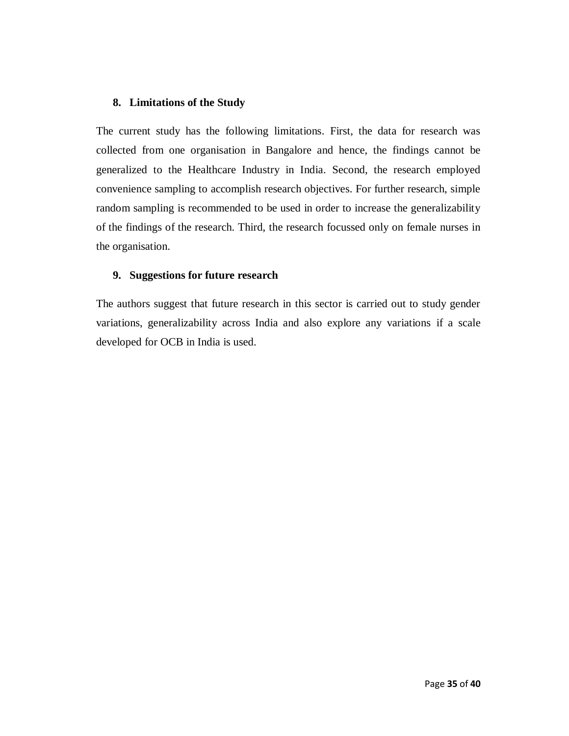# **8. Limitations of the Study**

The current study has the following limitations. First, the data for research was collected from one organisation in Bangalore and hence, the findings cannot be generalized to the Healthcare Industry in India. Second, the research employed convenience sampling to accomplish research objectives. For further research, simple random sampling is recommended to be used in order to increase the generalizability of the findings of the research. Third, the research focussed only on female nurses in the organisation.

## **9. Suggestions for future research**

The authors suggest that future research in this sector is carried out to study gender variations, generalizability across India and also explore any variations if a scale developed for OCB in India is used.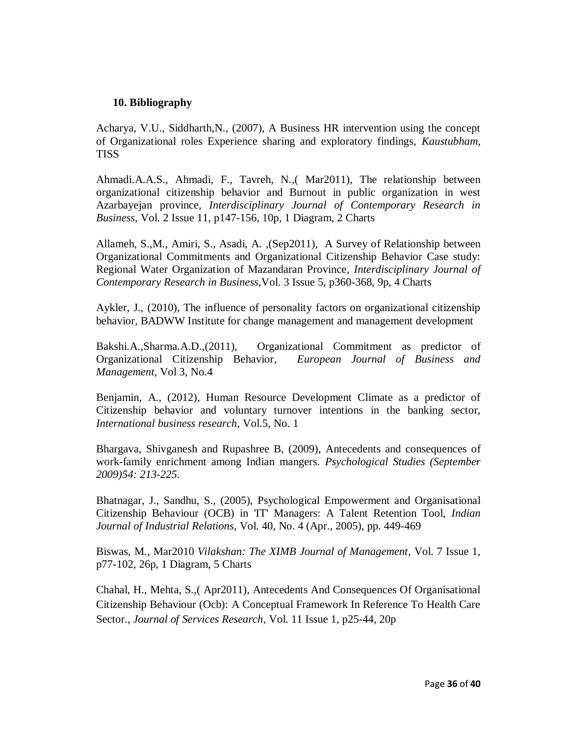### **10. Bibliography**

Acharya, V.U., Siddharth,N., (2007), A Business HR intervention using the concept of Organizational roles Experience sharing and exploratory findings, *Kaustubham*, **TISS** 

Ahmadi.A.A.S., Ahmadi, F., Tavreh, N*.*,( Mar2011), The relationship between organizational citizenship behavior and Burnout in public organization in west Azarbayejan province*, Interdisciplinary Journal of Contemporary Research in Business*, Vol. 2 Issue 11, p147-156, 10p, 1 Diagram, 2 Charts

Allameh, S.,M., Amiri, S., Asadi, A*.* ,(Sep2011), A Survey of Relationship between Organizational Commitments and Organizational Citizenship Behavior Case study: Regional Water Organization of Mazandaran Province*, Interdisciplinary Journal of Contemporary Research in Business,*Vol. 3 Issue 5, p360-368, 9p, 4 Charts

Aykler, J., (2010), The influence of personality factors on organizational citizenship behavior, BADWW Institute for change management and management development

Bakshi.A.,Sharma.A.D.,(2011), Organizational Commitment as predictor of Organizational Citizenship Behavior*, European Journal of Business and Management,* Vol 3, No.4

Benjamin, A., (2012), Human Resource Development Climate as a predictor of Citizenship behavior and voluntary turnover intentions in the banking sector, *International business research*, Vol.5, No. 1

Bhargava, Shivganesh and Rupashree B, (2009), Antecedents and consequences of work-family enrichment among Indian mangers. *Psychological Studies (September 2009)54: 213-225.*

Bhatnagar, J., Sandhu, S., (2005), Psychological Empowerment and Organisational Citizenship Behaviour (OCB) in 'IT' Managers: A Talent Retention Tool, *Indian Journal of Industrial Relations,* Vol. 40, No. 4 (Apr., 2005), pp. 449-469

Biswas, M*.,* Mar2010 *Vilakshan: The XIMB Journal of Management*, Vol. 7 Issue 1, p77-102, 26p, 1 Diagram, 5 Charts

Chahal, H., Mehta, S*.,*( Apr2011), Antecedents And Consequences Of Organisational Citizenship Behaviour (Ocb): A Conceptual Framework In Reference To Health Care Sector.*, Journal of Services Research*, Vol. 11 Issue 1, p25-44, 20p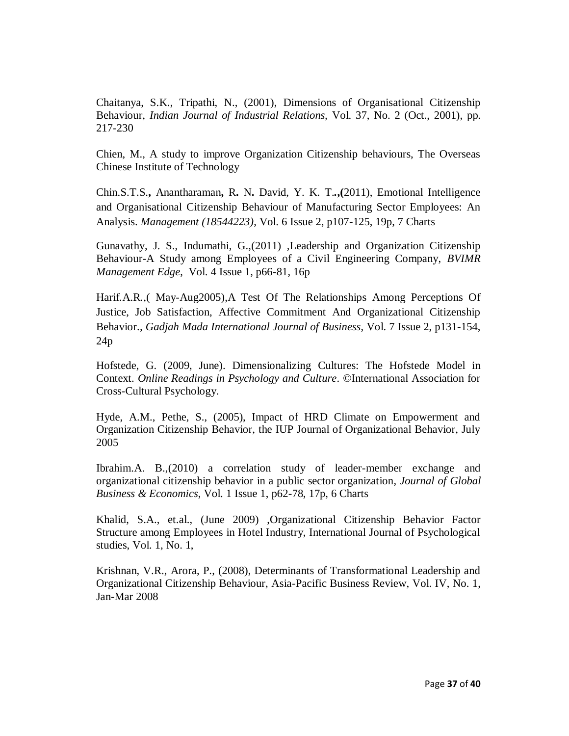Chaitanya, S.K., Tripathi, N., (2001), Dimensions of Organisational Citizenship Behaviour, *Indian Journal of Industrial Relations,* Vol. 37, No. 2 (Oct., 2001), pp. 217-230

Chien, M., A study to improve Organization Citizenship behaviours, The Overseas Chinese Institute of Technology

Chin.S.T.S.**,** Anantharaman**,** R**.** N**.** David, Y. K. T.*.***,(**2011), Emotional Intelligence and Organisational Citizenship Behaviour of Manufacturing Sector Employees: An Analysis. *Management (18544223)*, Vol. 6 Issue 2, p107-125, 19p, 7 Charts

Gunavathy, J. S., Indumathi, G.,(2011) *,*Leadership and Organization Citizenship Behaviour-A Study among Employees of a Civil Engineering Company, *BVIMR Management Edge*, Vol. 4 Issue 1, p66-81, 16p

Harif*.*A.R*.,*( May-Aug2005),A Test Of The Relationships Among Perceptions Of Justice, Job Satisfaction, Affective Commitment And Organizational Citizenship Behavior.*, Gadjah Mada International Journal of Business*, Vol. 7 Issue 2, p131-154, 24p

Hofstede, G. (2009, June). Dimensionalizing Cultures: The Hofstede Model in Context. *Online Readings in Psychology and Culture*. ©International Association for Cross-Cultural Psychology.

Hyde, A.M., Pethe, S., (2005), Impact of HRD Climate on Empowerment and Organization Citizenship Behavior, the IUP Journal of Organizational Behavior, July 2005

Ibrahim.A. B.,(2010) a correlation study of leader-member exchange and organizational citizenship behavior in a public sector organization, *Journal of Global Business & Economics*, Vol. 1 Issue 1, p62-78, 17p, 6 Charts

Khalid, S.A., et.al., (June 2009) ,Organizational Citizenship Behavior Factor Structure among Employees in Hotel Industry, International Journal of Psychological studies, Vol. 1, No. 1,

Krishnan, V.R., Arora, P., (2008), Determinants of Transformational Leadership and Organizational Citizenship Behaviour, Asia-Pacific Business Review, Vol. IV, No. 1, Jan-Mar 2008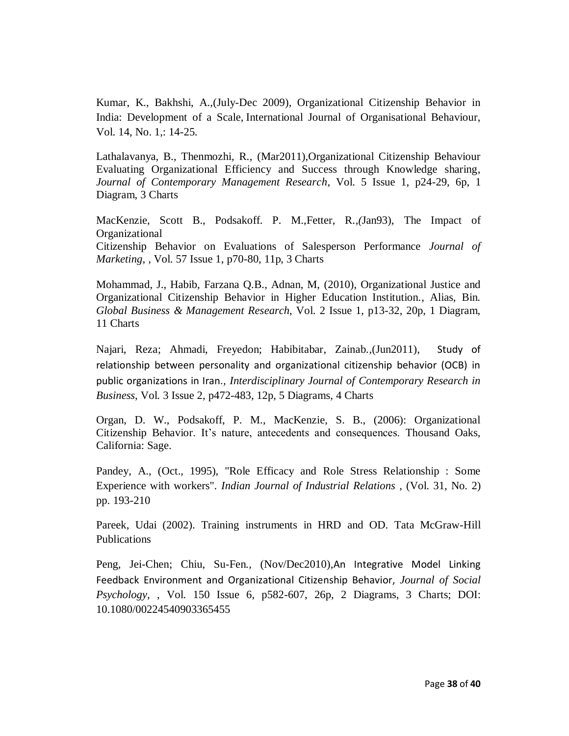Kumar, K., Bakhshi, A.,(July-Dec 2009), Organizational Citizenship Behavior in India: Development of a Scale, International Journal of Organisational Behaviour, Vol. 14, No. 1,: 14-25.

Lathalavanya, B., Thenmozhi, R., (Mar2011),Organizational Citizenship Behaviour Evaluating Organizational Efficiency and Success through Knowledge sharing, *Journal of Contemporary Management Research*, Vol. 5 Issue 1, p24-29, 6p, 1 Diagram, 3 Charts

MacKenzie, Scott B., Podsakoff. P. M.,Fetter, R*.,(*Jan93), The Impact of Organizational Citizenship Behavior on Evaluations of Salesperson Performance *Journal of Marketing*, , Vol. 57 Issue 1, p70-80, 11p, 3 Charts

Mohammad, J., Habib, Farzana Q.B., Adnan, M, (2010), Organizational Justice and Organizational Citizenship Behavior in Higher Education Institution., Alias, Bin*. Global Business & Management Research*, Vol. 2 Issue 1, p13-32, 20p, 1 Diagram, 11 Charts

Najari, Reza; Ahmadi, Freyedon; Habibitabar, Zainab*.,*(Jun2011), Study of relationship between personality and organizational citizenship behavior (OCB) in public organizations in Iran.*, Interdisciplinary Journal of Contemporary Research in Business*, Vol. 3 Issue 2, p472-483, 12p, 5 Diagrams, 4 Charts

Organ, D. W., Podsakoff, P. M., MacKenzie, S. B., (2006): Organizational Citizenship Behavior. It's nature, antecedents and consequences. Thousand Oaks, California: Sage.

Pandey, A., (Oct., 1995), "Role Efficacy and Role Stress Relationship : Some Experience with workers". *Indian Journal of Industrial Relations* , (Vol. 31, No. 2) pp. 193-210

Pareek, Udai (2002). Training instruments in HRD and OD. Tata McGraw-Hill Publications

Peng, Jei-Chen; Chiu, Su-Fen*.,* (Nov/Dec2010)*,*An Integrative Model Linking Feedback Environment and Organizational Citizenship Behavior, *Journal of Social Psychology*, , Vol. 150 Issue 6, p582-607, 26p, 2 Diagrams, 3 Charts; DOI: 10.1080/00224540903365455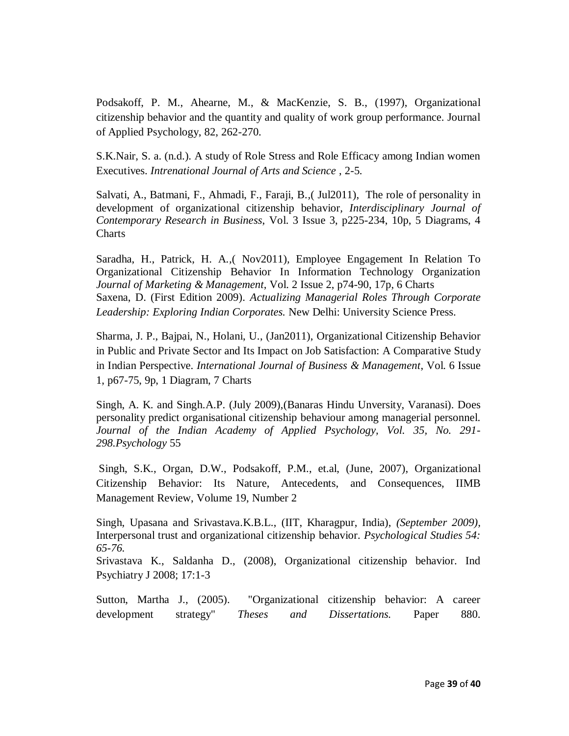Podsakoff, P. M., Ahearne, M., & MacKenzie, S. B., (1997), Organizational citizenship behavior and the quantity and quality of work group performance. Journal of Applied Psychology, 82, 262-270.

S.K.Nair, S. a. (n.d.). A study of Role Stress and Role Efficacy among Indian women Executives. *Intrenational Journal of Arts and Science* , 2-5.

Salvati, A., Batmani, F., Ahmadi, F., Faraji, B*.,*( Jul2011), The role of personality in development of organizational citizenship behavior*, Interdisciplinary Journal of Contemporary Research in Business*, Vol. 3 Issue 3, p225-234, 10p, 5 Diagrams, 4 **Charts** 

Saradha, H., Patrick, H. A*.,*( Nov2011)*,* Employee Engagement In Relation To Organizational Citizenship Behavior In Information Technology Organization *Journal of Marketing & Management*, Vol. 2 Issue 2, p74-90, 17p, 6 Charts Saxena, D. (First Edition 2009). *Actualizing Managerial Roles Through Corporate Leadership: Exploring Indian Corporates.* New Delhi: University Science Press.

Sharma, J. P., Bajpai, N., Holani, U., (Jan2011), Organizational Citizenship Behavior in Public and Private Sector and Its Impact on Job Satisfaction: A Comparative Study in Indian Perspective. *International Journal of Business & Management*, Vol. 6 Issue 1, p67-75, 9p, 1 Diagram, 7 Charts

Singh, A. K. and Singh.A.P. (July 2009),(Banaras Hindu Unversity, Varanasi). Does personality predict organisational citizenship behaviour among managerial personnel. *Journal of the Indian Academy of Applied Psychology, Vol. 35, No. 291- 298.Psychology* 55

Singh, S.K., Organ, D.W., Podsakoff, P.M., et.al, (June, 2007), Organizational Citizenship Behavior: Its Nature, Antecedents, and Consequences, IIMB Management Review, Volume 19, Number 2

Singh, Upasana and Srivastava.K.B.L., (IIT, Kharagpur, India), *(September 2009),*  Interpersonal trust and organizational citizenship behavior. *Psychological Studies 54: 65-76.*

Srivastava K., Saldanha D., (2008), Organizational citizenship behavior. Ind Psychiatry J 2008; 17:1-3

Sutton, Martha J., (2005). "Organizational citizenship behavior: A career development strategy" *Theses and Dissertations.* Paper 880.